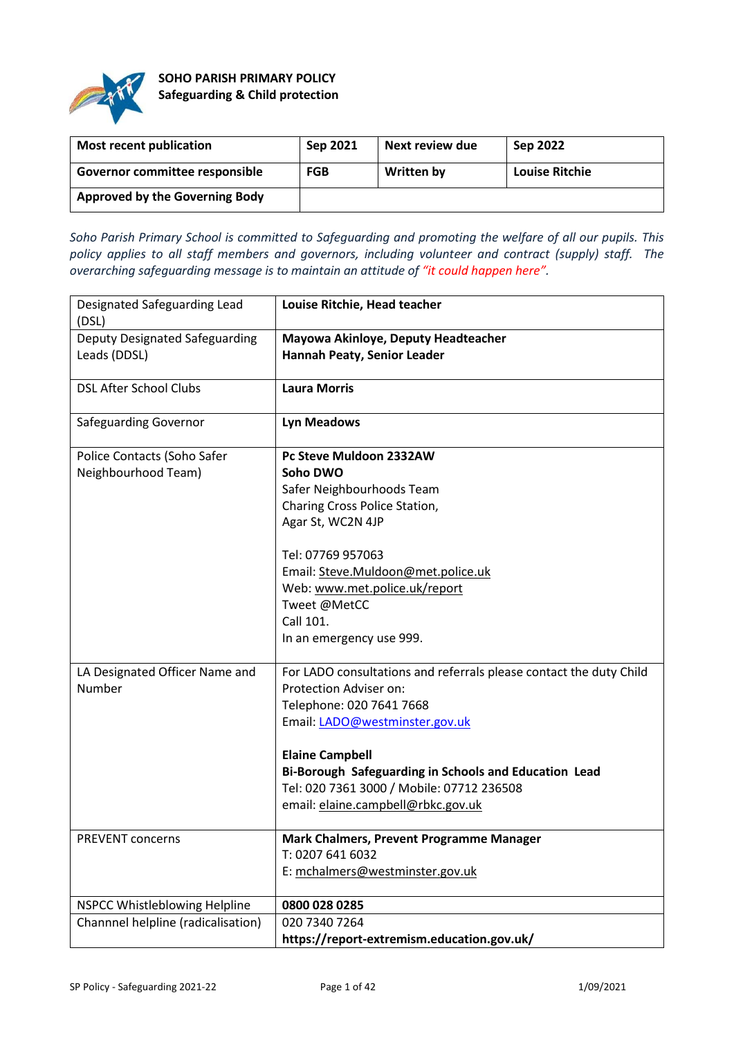

## **SOHO PARISH PRIMARY POLICY Safeguarding & Child protection**

| <b>Most recent publication</b> | Sep 2021   | Next review due | Sep 2022              |
|--------------------------------|------------|-----------------|-----------------------|
| Governor committee responsible | <b>FGB</b> | Written by      | <b>Louise Ritchie</b> |
| Approved by the Governing Body |            |                 |                       |

*Soho Parish Primary School is committed to Safeguarding and promoting the welfare of all our pupils. This policy applies to all staff members and governors, including volunteer and contract (supply) staff. The overarching safeguarding message is to maintain an attitude of "it could happen here".* 

| Designated Safeguarding Lead<br>(DSL)          | Louise Ritchie, Head teacher                                       |
|------------------------------------------------|--------------------------------------------------------------------|
| Deputy Designated Safeguarding<br>Leads (DDSL) | Mayowa Akinloye, Deputy Headteacher<br>Hannah Peaty, Senior Leader |
| <b>DSL After School Clubs</b>                  | <b>Laura Morris</b>                                                |
| Safeguarding Governor                          | <b>Lyn Meadows</b>                                                 |
| Police Contacts (Soho Safer                    | Pc Steve Muldoon 2332AW                                            |
| Neighbourhood Team)                            | Soho DWO                                                           |
|                                                | Safer Neighbourhoods Team                                          |
|                                                | Charing Cross Police Station,                                      |
|                                                | Agar St, WC2N 4JP                                                  |
|                                                |                                                                    |
|                                                | Tel: 07769 957063                                                  |
|                                                | Email: Steve.Muldoon@met.police.uk                                 |
|                                                | Web: www.met.police.uk/report                                      |
|                                                | Tweet @MetCC                                                       |
|                                                | Call 101.                                                          |
|                                                | In an emergency use 999.                                           |
|                                                |                                                                    |
| LA Designated Officer Name and                 | For LADO consultations and referrals please contact the duty Child |
| Number                                         | Protection Adviser on:                                             |
|                                                | Telephone: 020 7641 7668                                           |
|                                                | Email: LADO@westminster.gov.uk                                     |
|                                                |                                                                    |
|                                                | <b>Elaine Campbell</b>                                             |
|                                                | Bi-Borough Safeguarding in Schools and Education Lead              |
|                                                | Tel: 020 7361 3000 / Mobile: 07712 236508                          |
|                                                | email: elaine.campbell@rbkc.gov.uk                                 |
| <b>PREVENT concerns</b>                        | <b>Mark Chalmers, Prevent Programme Manager</b>                    |
|                                                | T: 0207 641 6032                                                   |
|                                                | E: mchalmers@westminster.gov.uk                                    |
|                                                |                                                                    |
| NSPCC Whistleblowing Helpline                  | 0800 028 0285                                                      |
| Channnel helpline (radicalisation)             | 020 7340 7264                                                      |
|                                                | https://report-extremism.education.gov.uk/                         |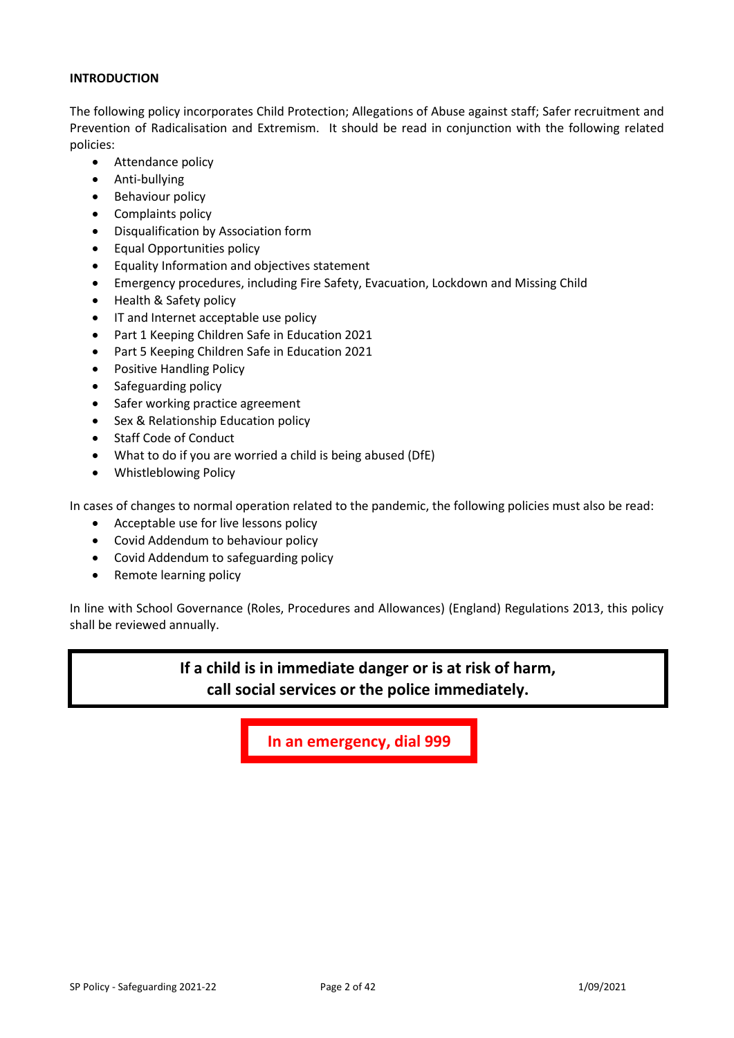## **INTRODUCTION**

The following policy incorporates Child Protection; Allegations of Abuse against staff; Safer recruitment and Prevention of Radicalisation and Extremism. It should be read in conjunction with the following related policies:

- Attendance policy
- Anti-bullying
- Behaviour policy
- Complaints policy
- Disqualification by Association form
- Equal Opportunities policy
- Equality Information and objectives statement
- Emergency procedures, including Fire Safety, Evacuation, Lockdown and Missing Child
- Health & Safety policy
- IT and Internet acceptable use policy
- Part 1 Keeping Children Safe in Education 2021
- Part 5 Keeping Children Safe in Education 2021
- Positive Handling Policy
- Safeguarding policy
- Safer working practice agreement
- Sex & Relationship Education policy
- Staff Code of Conduct
- What to do if you are worried a child is being abused (DfE)
- Whistleblowing Policy

In cases of changes to normal operation related to the pandemic, the following policies must also be read:

- Acceptable use for live lessons policy
- Covid Addendum to behaviour policy
- Covid Addendum to safeguarding policy
- Remote learning policy

**Contents** 

In line with School Governance (Roles, Procedures and Allowances) (England) Regulations 2013, this policy shall be reviewed annually.

# **If a child is in immediate danger or is at risk of harm, call social services or the police immediately.**

**In an emergency, dial 999**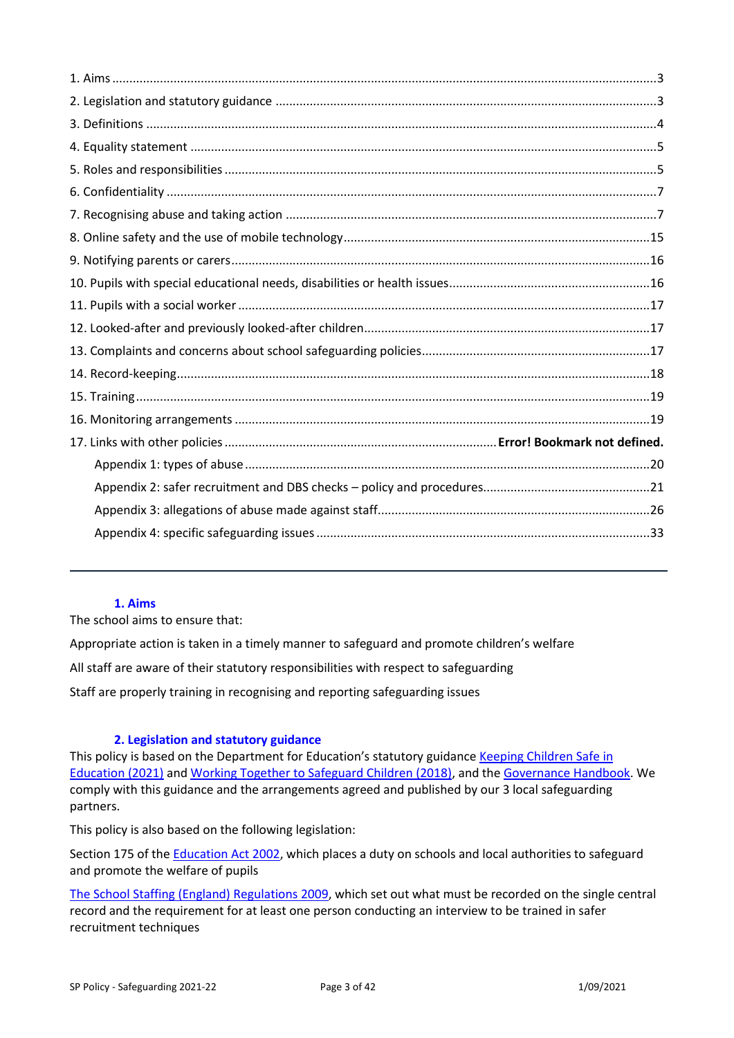## **1. Aims**

<span id="page-2-0"></span>The school aims to ensure that:

Appropriate action is taken in a timely manner to safeguard and promote children's welfare All staff are aware of their statutory responsibilities with respect to safeguarding Staff are properly training in recognising and reporting safeguarding issues

## **2. Legislation and statutory guidance**

<span id="page-2-1"></span>This policy is based on the Department for Education's statutory guidance [Keeping Children Safe in](https://www.gov.uk/government/publications/keeping-children-safe-in-education--2)  [Education \(2021\)](https://www.gov.uk/government/publications/keeping-children-safe-in-education--2) an[d Working Together to Safeguard Children \(2018\),](https://www.gov.uk/government/publications/working-together-to-safeguard-children--2) and th[e Governance Handbook.](https://www.gov.uk/government/publications/governance-handbook) We comply with this guidance and the arrangements agreed and published by our 3 local safeguarding partners.

This policy is also based on the following legislation:

Section 175 of the **Education Act 2002**, which places a duty on schools and local authorities to safeguard and promote the welfare of pupils

[The School Staffing \(England\) Regulations 2009,](http://www.legislation.gov.uk/uksi/2009/2680/contents/made) which set out what must be recorded on the single central record and the requirement for at least one person conducting an interview to be trained in safer recruitment techniques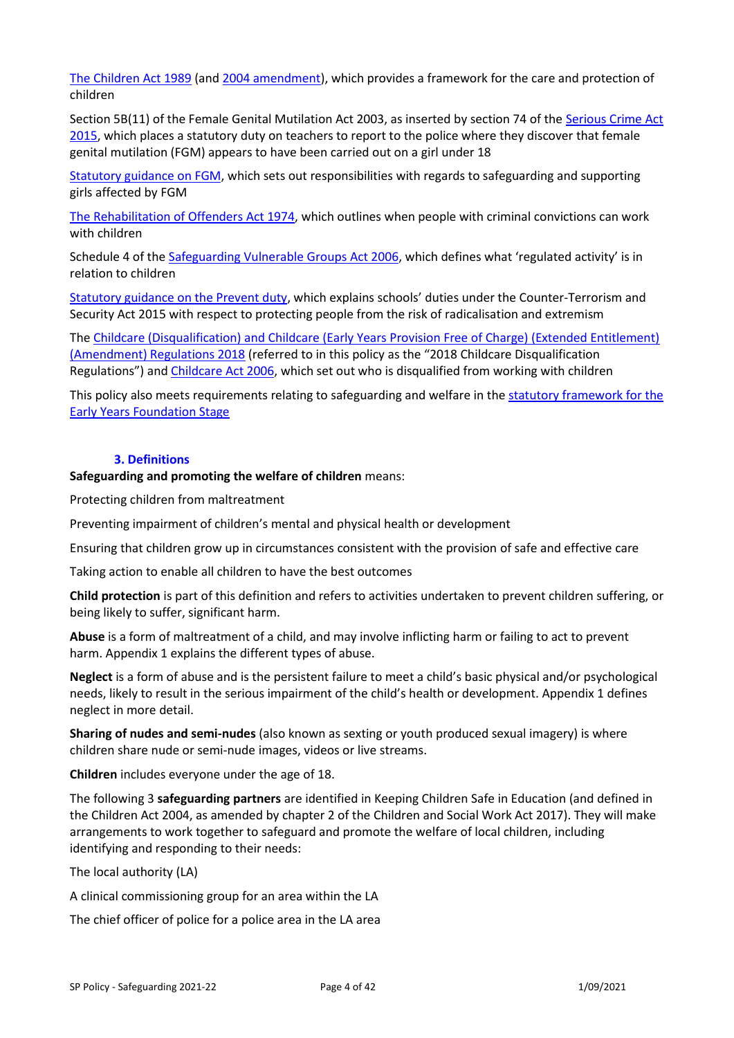[The Children Act 1989 \(](http://www.legislation.gov.uk/ukpga/1989/41)an[d 2004 amendment\)](http://www.legislation.gov.uk/ukpga/2004/31/contents), which provides a framework for the care and protection of children

Section 5B(11) of the Female Genital Mutilation Act 2003, as inserted by section 74 of the [Serious Crime Act](http://www.legislation.gov.uk/ukpga/2015/9/part/5/crossheading/female-genital-mutilation)  [2015,](http://www.legislation.gov.uk/ukpga/2015/9/part/5/crossheading/female-genital-mutilation) which places a statutory duty on teachers to report to the police where they discover that female genital mutilation (FGM) appears to have been carried out on a girl under 18

[Statutory guidance on FGM,](https://www.gov.uk/government/publications/multi-agency-statutory-guidance-on-female-genital-mutilation) which sets out responsibilities with regards to safeguarding and supporting girls affected by FGM

[The Rehabilitation of Offenders Act 1974,](http://www.legislation.gov.uk/ukpga/1974/53) which outlines when people with criminal convictions can work with children

Schedule 4 of the [Safeguarding Vulnerable Groups Act 2006](http://www.legislation.gov.uk/ukpga/2006/47/schedule/4), which defines what 'regulated activity' is in relation to children

[Statutory guidance on the Prevent duty](https://www.gov.uk/government/publications/prevent-duty-guidance), which explains schools' duties under the Counter-Terrorism and Security Act 2015 with respect to protecting people from the risk of radicalisation and extremism

The [Childcare \(Disqualification\) and Childcare \(Early Years Provision Free of Charge\) \(Extended Entitlement\)](http://www.legislation.gov.uk/uksi/2018/794/contents/made)  [\(Amendment\) Regulations 2018](http://www.legislation.gov.uk/uksi/2018/794/contents/made) (referred to in this policy as the "2018 Childcare Disqualification Regulations") and [Childcare Act 2006,](http://www.legislation.gov.uk/ukpga/2006/21/contents) which set out who is disqualified from working with children

This policy also meets requirements relating to safeguarding and welfare in th[e statutory framework for the](https://www.gov.uk/government/publications/early-years-foundation-stage-framework--2)  [Early Years Foundation Stage](https://www.gov.uk/government/publications/early-years-foundation-stage-framework--2)

#### **3. Definitions**

#### <span id="page-3-0"></span>**Safeguarding and promoting the welfare of children** means:

Protecting children from maltreatment

Preventing impairment of children's mental and physical health or development

Ensuring that children grow up in circumstances consistent with the provision of safe and effective care

Taking action to enable all children to have the best outcomes

**Child protection** is part of this definition and refers to activities undertaken to prevent children suffering, or being likely to suffer, significant harm.

**Abuse** is a form of maltreatment of a child, and may involve inflicting harm or failing to act to prevent harm. Appendix 1 explains the different types of abuse.

**Neglect** is a form of abuse and is the persistent failure to meet a child's basic physical and/or psychological needs, likely to result in the serious impairment of the child's health or development. Appendix 1 defines neglect in more detail.

**Sharing of nudes and semi-nudes** (also known as sexting or youth produced sexual imagery) is where children share nude or semi-nude images, videos or live streams.

**Children** includes everyone under the age of 18.

The following 3 **safeguarding partners** are identified in Keeping Children Safe in Education (and defined in the Children Act 2004, as amended by chapter 2 of the Children and Social Work Act 2017). They will make arrangements to work together to safeguard and promote the welfare of local children, including identifying and responding to their needs:

The local authority (LA)

A clinical commissioning group for an area within the LA

The chief officer of police for a police area in the LA area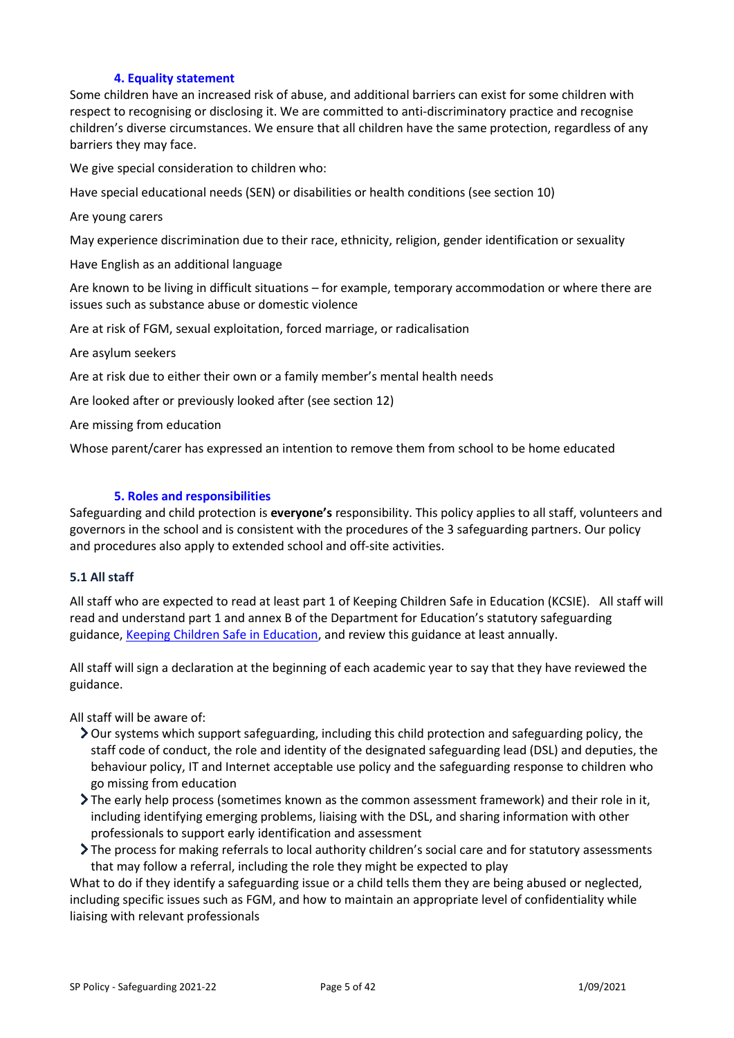#### **4. Equality statement**

<span id="page-4-0"></span>Some children have an increased risk of abuse, and additional barriers can exist for some children with respect to recognising or disclosing it. We are committed to anti-discriminatory practice and recognise children's diverse circumstances. We ensure that all children have the same protection, regardless of any barriers they may face.

We give special consideration to children who:

Have special educational needs (SEN) or disabilities or health conditions (see section 10)

Are young carers

May experience discrimination due to their race, ethnicity, religion, gender identification or sexuality

Have English as an additional language

Are known to be living in difficult situations – for example, temporary accommodation or where there are issues such as substance abuse or domestic violence

Are at risk of FGM, sexual exploitation, forced marriage, or radicalisation

Are asylum seekers

Are at risk due to either their own or a family member's mental health needs

Are looked after or previously looked after (see section 12)

Are missing from education

Whose parent/carer has expressed an intention to remove them from school to be home educated

#### **5. Roles and responsibilities**

<span id="page-4-1"></span>Safeguarding and child protection is **everyone's** responsibility. This policy applies to all staff, volunteers and governors in the school and is consistent with the procedures of the 3 safeguarding partners. Our policy and procedures also apply to extended school and off-site activities.

#### **5.1 All staff**

All staff who are expected to read at least part 1 of Keeping Children Safe in Education (KCSIE). All staff will read and understand part 1 and annex B of the Department for Education's statutory safeguarding guidance, [Keeping Children Safe in Education,](https://www.gov.uk/government/publications/keeping-children-safe-in-education--2) and review this guidance at least annually.

All staff will sign a declaration at the beginning of each academic year to say that they have reviewed the guidance.

All staff will be aware of:

- Our systems which support safeguarding, including this child protection and safeguarding policy, the staff code of conduct, the role and identity of the designated safeguarding lead (DSL) and deputies, the behaviour policy, IT and Internet acceptable use policy and the safeguarding response to children who go missing from education
- The early help process (sometimes known as the common assessment framework) and their role in it, including identifying emerging problems, liaising with the DSL, and sharing information with other professionals to support early identification and assessment
- The process for making referrals to local authority children's social care and for statutory assessments that may follow a referral, including the role they might be expected to play

What to do if they identify a safeguarding issue or a child tells them they are being abused or neglected, including specific issues such as FGM, and how to maintain an appropriate level of confidentiality while liaising with relevant professionals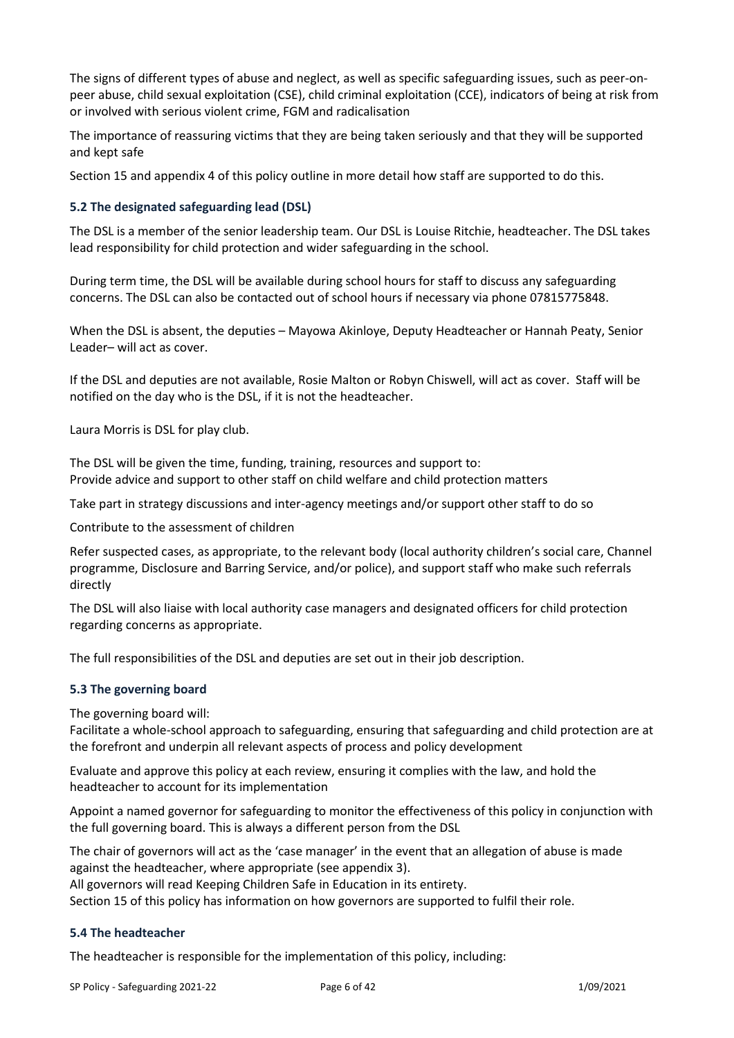The signs of different types of abuse and neglect, as well as specific safeguarding issues, such as peer-onpeer abuse, child sexual exploitation (CSE), child criminal exploitation (CCE), indicators of being at risk from or involved with serious violent crime, FGM and radicalisation

The importance of reassuring victims that they are being taken seriously and that they will be supported and kept safe

Section 15 and appendix 4 of this policy outline in more detail how staff are supported to do this.

## **5.2 The designated safeguarding lead (DSL)**

The DSL is a member of the senior leadership team. Our DSL is Louise Ritchie, headteacher. The DSL takes lead responsibility for child protection and wider safeguarding in the school.

During term time, the DSL will be available during school hours for staff to discuss any safeguarding concerns. The DSL can also be contacted out of school hours if necessary via phone 07815775848.

When the DSL is absent, the deputies – Mayowa Akinloye, Deputy Headteacher or Hannah Peaty, Senior Leader– will act as cover.

If the DSL and deputies are not available, Rosie Malton or Robyn Chiswell, will act as cover. Staff will be notified on the day who is the DSL, if it is not the headteacher.

Laura Morris is DSL for play club.

The DSL will be given the time, funding, training, resources and support to: Provide advice and support to other staff on child welfare and child protection matters

Take part in strategy discussions and inter-agency meetings and/or support other staff to do so

Contribute to the assessment of children

Refer suspected cases, as appropriate, to the relevant body (local authority children's social care, Channel programme, Disclosure and Barring Service, and/or police), and support staff who make such referrals directly

The DSL will also liaise with local authority case managers and designated officers for child protection regarding concerns as appropriate.

The full responsibilities of the DSL and deputies are set out in their job description.

#### **5.3 The governing board**

The governing board will:

Facilitate a whole-school approach to safeguarding, ensuring that safeguarding and child protection are at the forefront and underpin all relevant aspects of process and policy development

Evaluate and approve this policy at each review, ensuring it complies with the law, and hold the headteacher to account for its implementation

Appoint a named governor for safeguarding to monitor the effectiveness of this policy in conjunction with the full governing board. This is always a different person from the DSL

The chair of governors will act as the 'case manager' in the event that an allegation of abuse is made against the headteacher, where appropriate (see appendix 3).

All governors will read Keeping Children Safe in Education in its entirety.

Section 15 of this policy has information on how governors are supported to fulfil their role.

## **5.4 The headteacher**

The headteacher is responsible for the implementation of this policy, including: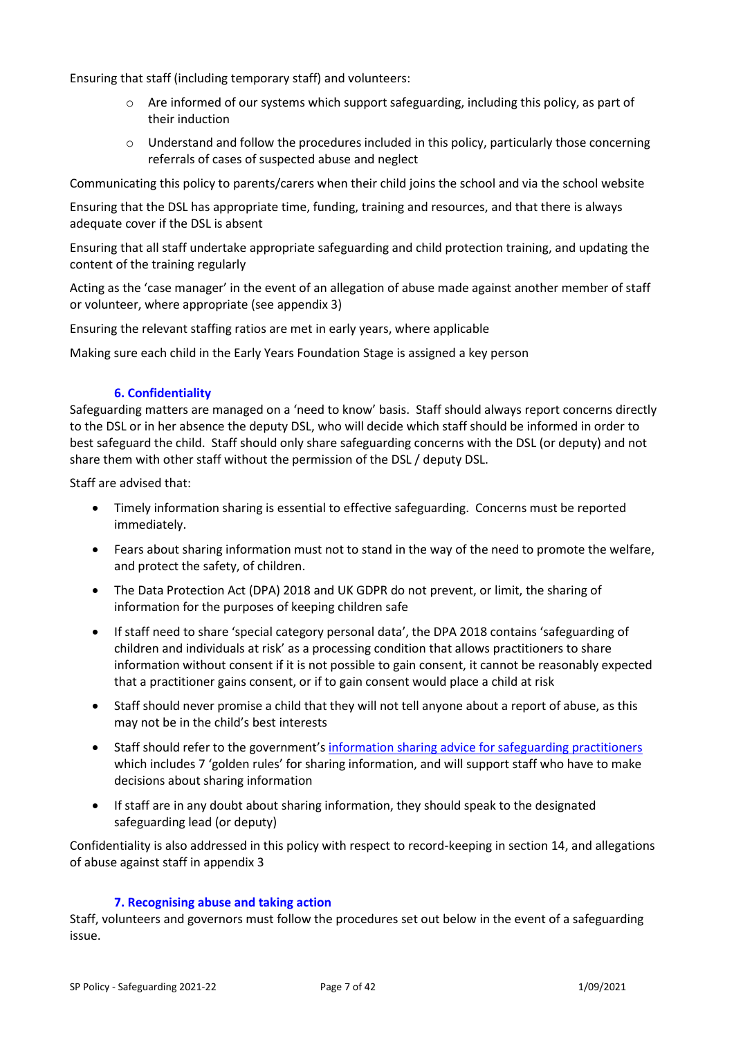Ensuring that staff (including temporary staff) and volunteers:

- $\circ$  Are informed of our systems which support safeguarding, including this policy, as part of their induction
- $\circ$  Understand and follow the procedures included in this policy, particularly those concerning referrals of cases of suspected abuse and neglect

Communicating this policy to parents/carers when their child joins the school and via the school website

Ensuring that the DSL has appropriate time, funding, training and resources, and that there is always adequate cover if the DSL is absent

Ensuring that all staff undertake appropriate safeguarding and child protection training, and updating the content of the training regularly

Acting as the 'case manager' in the event of an allegation of abuse made against another member of staff or volunteer, where appropriate (see appendix 3)

Ensuring the relevant staffing ratios are met in early years, where applicable

Making sure each child in the Early Years Foundation Stage is assigned a key person

#### **6. Confidentiality**

<span id="page-6-0"></span>Safeguarding matters are managed on a 'need to know' basis. Staff should always report concerns directly to the DSL or in her absence the deputy DSL, who will decide which staff should be informed in order to best safeguard the child. Staff should only share safeguarding concerns with the DSL (or deputy) and not share them with other staff without the permission of the DSL / deputy DSL.

Staff are advised that:

- Timely information sharing is essential to effective safeguarding. Concerns must be reported immediately.
- Fears about sharing information must not to stand in the way of the need to promote the welfare, and protect the safety, of children.
- The Data Protection Act (DPA) 2018 and UK GDPR do not prevent, or limit, the sharing of information for the purposes of keeping children safe
- If staff need to share 'special category personal data', the DPA 2018 contains 'safeguarding of children and individuals at risk' as a processing condition that allows practitioners to share information without consent if it is not possible to gain consent, it cannot be reasonably expected that a practitioner gains consent, or if to gain consent would place a child at risk
- Staff should never promise a child that they will not tell anyone about a report of abuse, as this may not be in the child's best interests
- Staff should refer to the government's [information sharing advice for safeguarding practitioners](https://www.gov.uk/government/publications/safeguarding-practitioners-information-sharing-advice) which includes 7 'golden rules' for sharing information, and will support staff who have to make decisions about sharing information
- If staff are in any doubt about sharing information, they should speak to the designated safeguarding lead (or deputy)

Confidentiality is also addressed in this policy with respect to record-keeping in section 14, and allegations of abuse against staff in appendix 3

#### **7. Recognising abuse and taking action**

<span id="page-6-1"></span>Staff, volunteers and governors must follow the procedures set out below in the event of a safeguarding issue.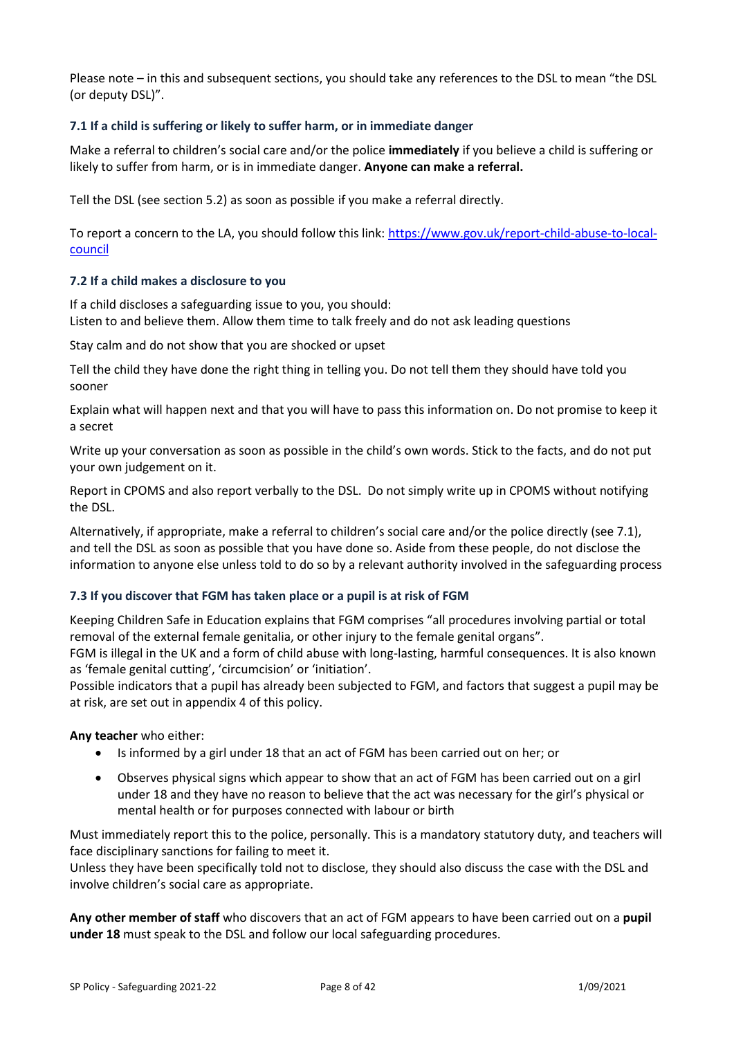Please note – in this and subsequent sections, you should take any references to the DSL to mean "the DSL (or deputy DSL)".

## **7.1 If a child is suffering or likely to suffer harm, or in immediate danger**

Make a referral to children's social care and/or the police **immediately** if you believe a child is suffering or likely to suffer from harm, or is in immediate danger. **Anyone can make a referral.**

Tell the DSL (see section 5.2) as soon as possible if you make a referral directly.

To report a concern to the LA, you should follow this link: [https://www.gov.uk/report-child-abuse-to-local](https://www.gov.uk/report-child-abuse-to-local-council)[council](https://www.gov.uk/report-child-abuse-to-local-council)

## **7.2 If a child makes a disclosure to you**

If a child discloses a safeguarding issue to you, you should: Listen to and believe them. Allow them time to talk freely and do not ask leading questions

Stay calm and do not show that you are shocked or upset

Tell the child they have done the right thing in telling you. Do not tell them they should have told you sooner

Explain what will happen next and that you will have to pass this information on. Do not promise to keep it a secret

Write up your conversation as soon as possible in the child's own words. Stick to the facts, and do not put your own judgement on it.

Report in CPOMS and also report verbally to the DSL. Do not simply write up in CPOMS without notifying the DSL.

Alternatively, if appropriate, make a referral to children's social care and/or the police directly (see 7.1), and tell the DSL as soon as possible that you have done so. Aside from these people, do not disclose the information to anyone else unless told to do so by a relevant authority involved in the safeguarding process

## **7.3 If you discover that FGM has taken place or a pupil is at risk of FGM**

Keeping Children Safe in Education explains that FGM comprises "all procedures involving partial or total removal of the external female genitalia, or other injury to the female genital organs".

FGM is illegal in the UK and a form of child abuse with long-lasting, harmful consequences. It is also known as 'female genital cutting', 'circumcision' or 'initiation'.

Possible indicators that a pupil has already been subjected to FGM, and factors that suggest a pupil may be at risk, are set out in appendix 4 of this policy.

## **Any teacher** who either:

- Is informed by a girl under 18 that an act of FGM has been carried out on her; or
- Observes physical signs which appear to show that an act of FGM has been carried out on a girl under 18 and they have no reason to believe that the act was necessary for the girl's physical or mental health or for purposes connected with labour or birth

Must immediately report this to the police, personally. This is a mandatory statutory duty, and teachers will face disciplinary sanctions for failing to meet it.

Unless they have been specifically told not to disclose, they should also discuss the case with the DSL and involve children's social care as appropriate.

**Any other member of staff** who discovers that an act of FGM appears to have been carried out on a **pupil under 18** must speak to the DSL and follow our local safeguarding procedures.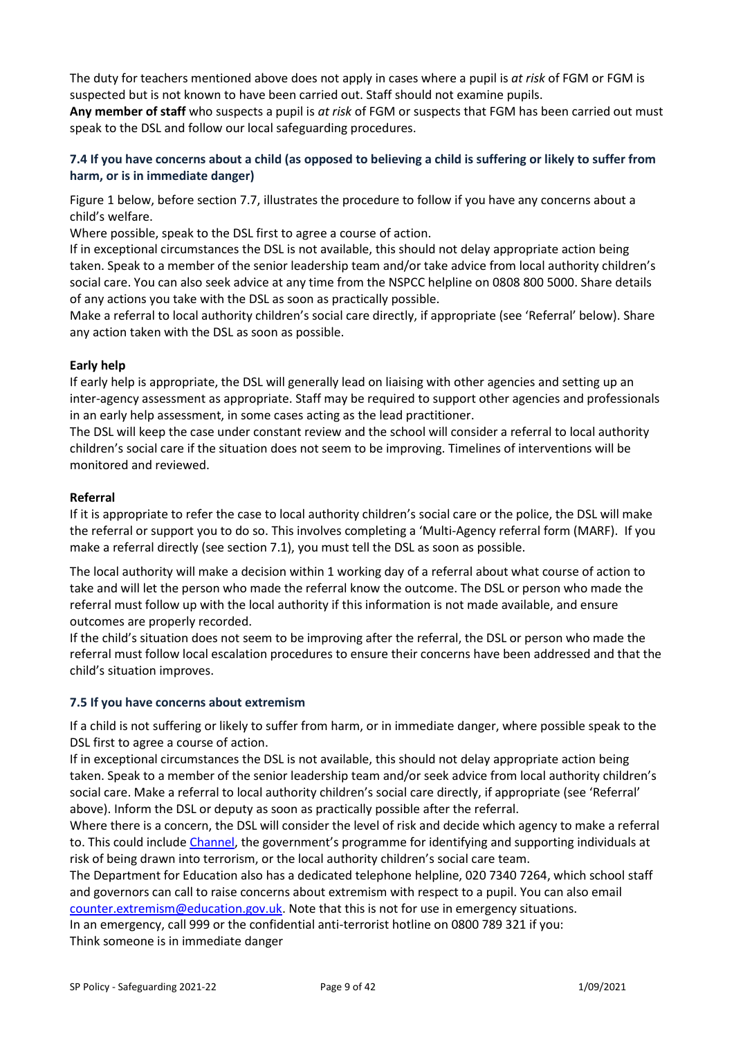The duty for teachers mentioned above does not apply in cases where a pupil is *at risk* of FGM or FGM is suspected but is not known to have been carried out. Staff should not examine pupils.

**Any member of staff** who suspects a pupil is *at risk* of FGM or suspects that FGM has been carried out must speak to the DSL and follow our local safeguarding procedures.

## **7.4 If you have concerns about a child (as opposed to believing a child is suffering or likely to suffer from harm, or is in immediate danger)**

Figure 1 below, before section 7.7, illustrates the procedure to follow if you have any concerns about a child's welfare.

Where possible, speak to the DSL first to agree a course of action.

If in exceptional circumstances the DSL is not available, this should not delay appropriate action being taken. Speak to a member of the senior leadership team and/or take advice from local authority children's social care. You can also seek advice at any time from the NSPCC helpline on 0808 800 5000. Share details of any actions you take with the DSL as soon as practically possible.

Make a referral to local authority children's social care directly, if appropriate (see 'Referral' below). Share any action taken with the DSL as soon as possible.

## **Early help**

If early help is appropriate, the DSL will generally lead on liaising with other agencies and setting up an inter-agency assessment as appropriate. Staff may be required to support other agencies and professionals in an early help assessment, in some cases acting as the lead practitioner.

The DSL will keep the case under constant review and the school will consider a referral to local authority children's social care if the situation does not seem to be improving. Timelines of interventions will be monitored and reviewed.

## **Referral**

If it is appropriate to refer the case to local authority children's social care or the police, the DSL will make the referral or support you to do so. This involves completing a 'Multi-Agency referral form (MARF). If you make a referral directly (see section 7.1), you must tell the DSL as soon as possible.

The local authority will make a decision within 1 working day of a referral about what course of action to take and will let the person who made the referral know the outcome. The DSL or person who made the referral must follow up with the local authority if this information is not made available, and ensure outcomes are properly recorded.

If the child's situation does not seem to be improving after the referral, the DSL or person who made the referral must follow local escalation procedures to ensure their concerns have been addressed and that the child's situation improves.

## **7.5 If you have concerns about extremism**

If a child is not suffering or likely to suffer from harm, or in immediate danger, where possible speak to the DSL first to agree a course of action.

If in exceptional circumstances the DSL is not available, this should not delay appropriate action being taken. Speak to a member of the senior leadership team and/or seek advice from local authority children's social care. Make a referral to local authority children's social care directly, if appropriate (see 'Referral' above). Inform the DSL or deputy as soon as practically possible after the referral.

Where there is a concern, the DSL will consider the level of risk and decide which agency to make a referral to. This could include [Channel](https://www.gov.uk/government/publications/channel-guidance), the government's programme for identifying and supporting individuals at risk of being drawn into terrorism, or the local authority children's social care team.

The Department for Education also has a dedicated telephone helpline, 020 7340 7264, which school staff and governors can call to raise concerns about extremism with respect to a pupil. You can also email [counter.extremism@education.gov.uk.](mailto:counter.extremism@education.gov.uk) Note that this is not for use in emergency situations. In an emergency, call 999 or the confidential anti-terrorist hotline on 0800 789 321 if you:

Think someone is in immediate danger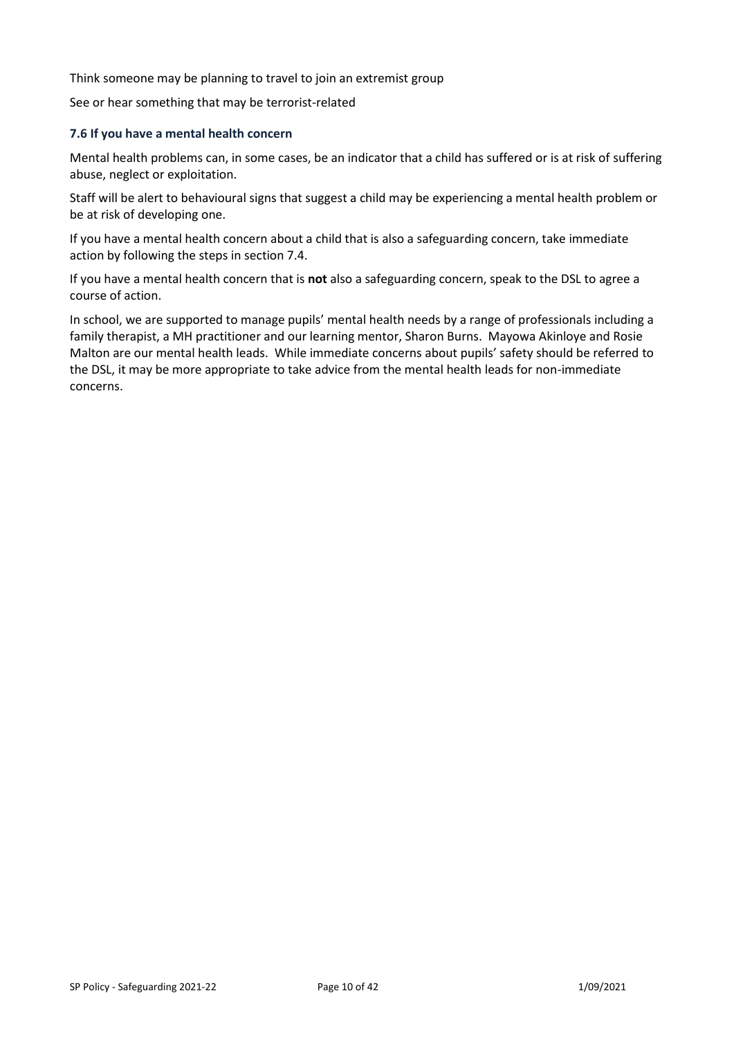Think someone may be planning to travel to join an extremist group

See or hear something that may be terrorist-related

## **7.6 If you have a mental health concern**

Mental health problems can, in some cases, be an indicator that a child has suffered or is at risk of suffering abuse, neglect or exploitation.

Staff will be alert to behavioural signs that suggest a child may be experiencing a mental health problem or be at risk of developing one.

If you have a mental health concern about a child that is also a safeguarding concern, take immediate action by following the steps in section 7.4.

If you have a mental health concern that is **not** also a safeguarding concern, speak to the DSL to agree a course of action.

In school, we are supported to manage pupils' mental health needs by a range of professionals including a family therapist, a MH practitioner and our learning mentor, Sharon Burns. Mayowa Akinloye and Rosie Malton are our mental health leads. While immediate concerns about pupils' safety should be referred to the DSL, it may be more appropriate to take advice from the mental health leads for non-immediate concerns.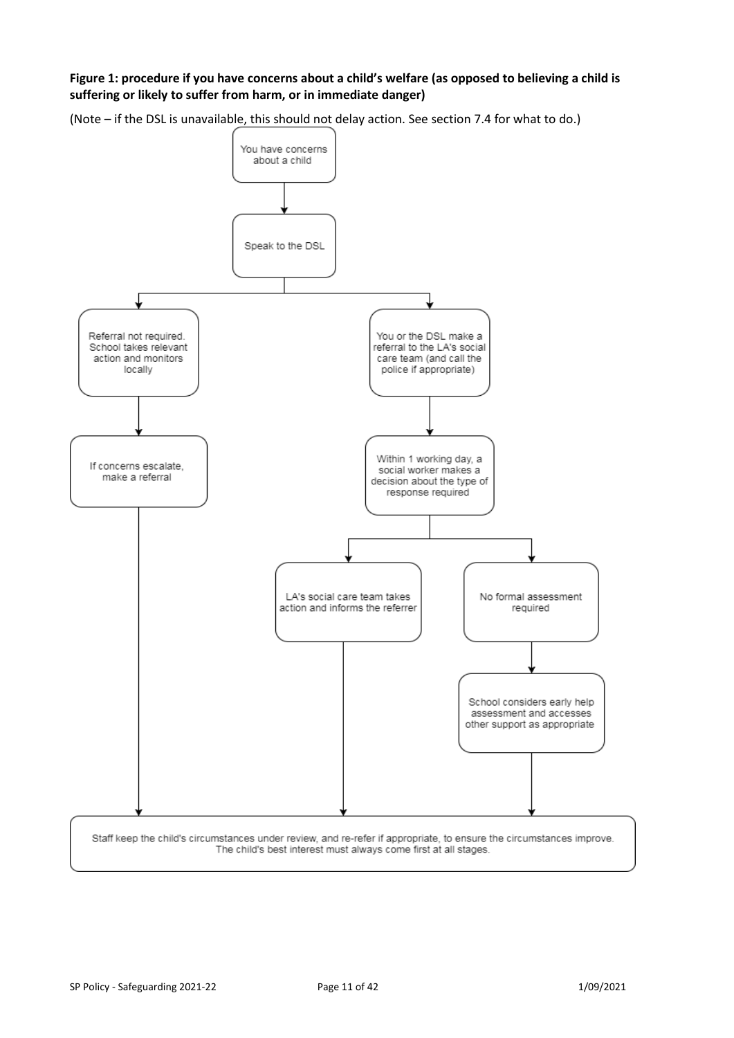## **Figure 1: procedure if you have concerns about a child's welfare (as opposed to believing a child is suffering or likely to suffer from harm, or in immediate danger)**



(Note – if the DSL is unavailable, this should not delay action. See section 7.4 for what to do.)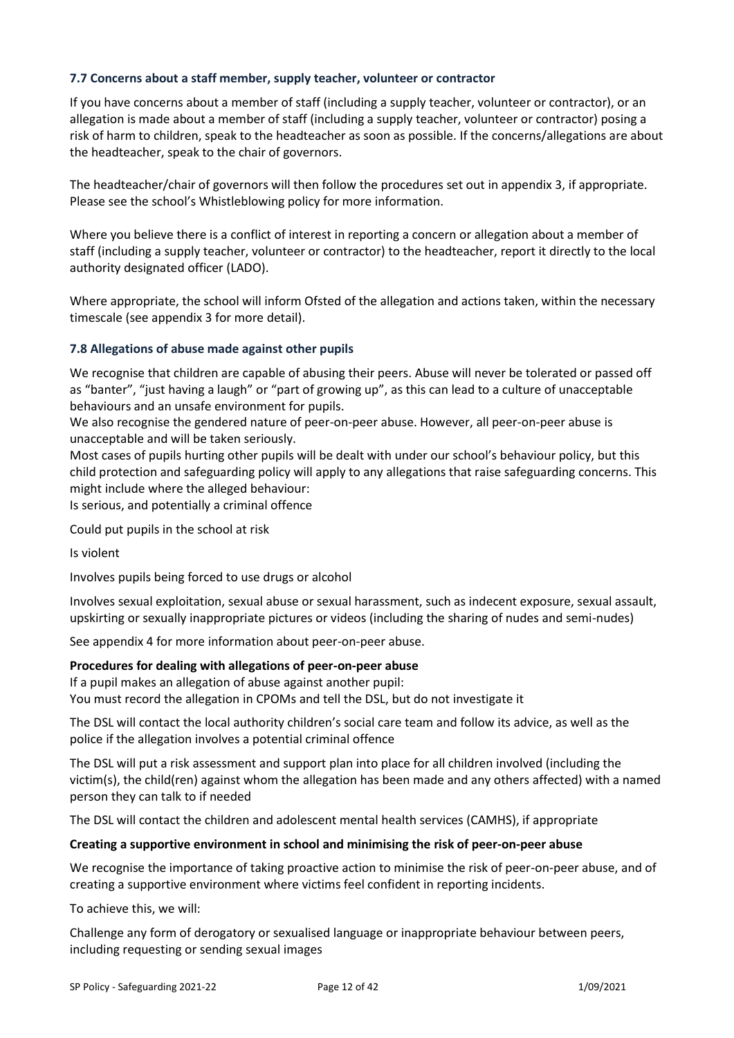## **7.7 Concerns about a staff member, supply teacher, volunteer or contractor**

If you have concerns about a member of staff (including a supply teacher, volunteer or contractor), or an allegation is made about a member of staff (including a supply teacher, volunteer or contractor) posing a risk of harm to children, speak to the headteacher as soon as possible. If the concerns/allegations are about the headteacher, speak to the chair of governors.

The headteacher/chair of governors will then follow the procedures set out in appendix 3, if appropriate. Please see the school's Whistleblowing policy for more information.

Where you believe there is a conflict of interest in reporting a concern or allegation about a member of staff (including a supply teacher, volunteer or contractor) to the headteacher, report it directly to the local authority designated officer (LADO).

Where appropriate, the school will inform Ofsted of the allegation and actions taken, within the necessary timescale (see appendix 3 for more detail).

## **7.8 Allegations of abuse made against other pupils**

We recognise that children are capable of abusing their peers. Abuse will never be tolerated or passed off as "banter", "just having a laugh" or "part of growing up", as this can lead to a culture of unacceptable behaviours and an unsafe environment for pupils.

We also recognise the gendered nature of peer-on-peer abuse. However, all peer-on-peer abuse is unacceptable and will be taken seriously.

Most cases of pupils hurting other pupils will be dealt with under our school's behaviour policy, but this child protection and safeguarding policy will apply to any allegations that raise safeguarding concerns. This might include where the alleged behaviour:

Is serious, and potentially a criminal offence

Could put pupils in the school at risk

Is violent

Involves pupils being forced to use drugs or alcohol

Involves sexual exploitation, sexual abuse or sexual harassment, such as indecent exposure, sexual assault, upskirting or sexually inappropriate pictures or videos (including the sharing of nudes and semi-nudes)

See appendix 4 for more information about peer-on-peer abuse.

## **Procedures for dealing with allegations of peer-on-peer abuse**

If a pupil makes an allegation of abuse against another pupil:

You must record the allegation in CPOMs and tell the DSL, but do not investigate it

The DSL will contact the local authority children's social care team and follow its advice, as well as the police if the allegation involves a potential criminal offence

The DSL will put a risk assessment and support plan into place for all children involved (including the victim(s), the child(ren) against whom the allegation has been made and any others affected) with a named person they can talk to if needed

The DSL will contact the children and adolescent mental health services (CAMHS), if appropriate

#### **Creating a supportive environment in school and minimising the risk of peer-on-peer abuse**

We recognise the importance of taking proactive action to minimise the risk of peer-on-peer abuse, and of creating a supportive environment where victims feel confident in reporting incidents.

To achieve this, we will:

Challenge any form of derogatory or sexualised language or inappropriate behaviour between peers, including requesting or sending sexual images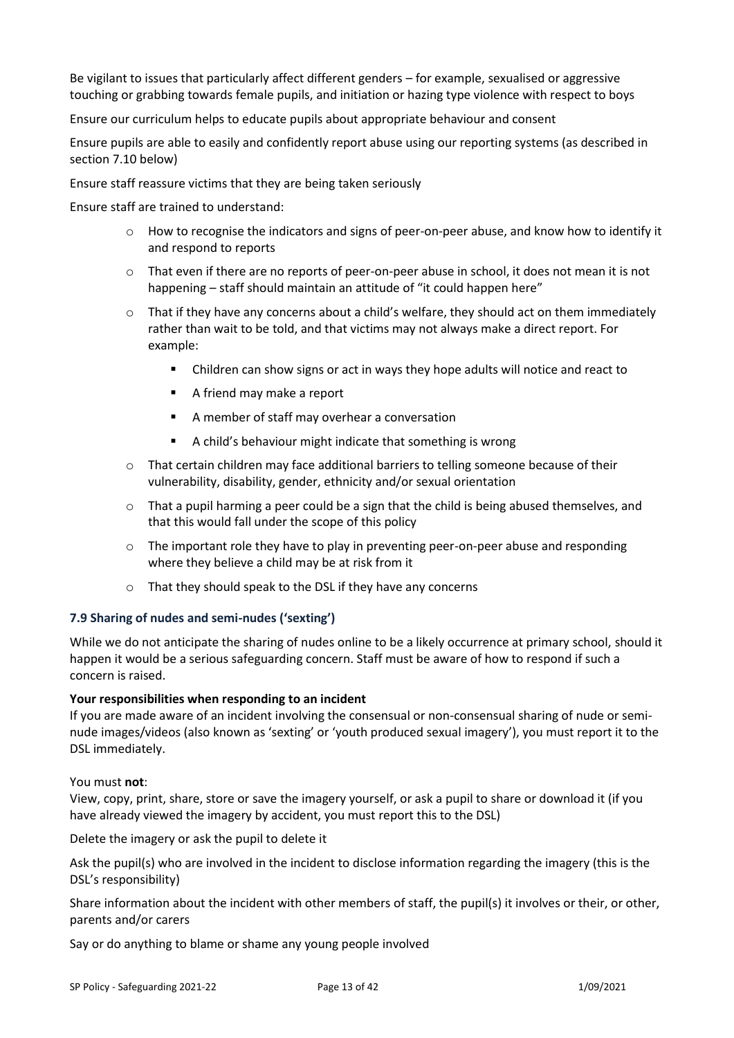Be vigilant to issues that particularly affect different genders – for example, sexualised or aggressive touching or grabbing towards female pupils, and initiation or hazing type violence with respect to boys

Ensure our curriculum helps to educate pupils about appropriate behaviour and consent

Ensure pupils are able to easily and confidently report abuse using our reporting systems (as described in section 7.10 below)

Ensure staff reassure victims that they are being taken seriously

Ensure staff are trained to understand:

- $\circ$  How to recognise the indicators and signs of peer-on-peer abuse, and know how to identify it and respond to reports
- o That even if there are no reports of peer-on-peer abuse in school, it does not mean it is not happening – staff should maintain an attitude of "it could happen here"
- $\circ$  That if they have any concerns about a child's welfare, they should act on them immediately rather than wait to be told, and that victims may not always make a direct report. For example:
	- Children can show signs or act in ways they hope adults will notice and react to
	- A friend may make a report
	- A member of staff may overhear a conversation
	- A child's behaviour might indicate that something is wrong
- o That certain children may face additional barriers to telling someone because of their vulnerability, disability, gender, ethnicity and/or sexual orientation
- $\circ$  That a pupil harming a peer could be a sign that the child is being abused themselves, and that this would fall under the scope of this policy
- $\circ$  The important role they have to play in preventing peer-on-peer abuse and responding where they believe a child may be at risk from it
- o That they should speak to the DSL if they have any concerns

#### **7.9 Sharing of nudes and semi-nudes ('sexting')**

While we do not anticipate the sharing of nudes online to be a likely occurrence at primary school, should it happen it would be a serious safeguarding concern. Staff must be aware of how to respond if such a concern is raised.

#### **Your responsibilities when responding to an incident**

If you are made aware of an incident involving the consensual or non-consensual sharing of nude or seminude images/videos (also known as 'sexting' or 'youth produced sexual imagery'), you must report it to the DSL immediately.

#### You must **not**:

View, copy, print, share, store or save the imagery yourself, or ask a pupil to share or download it (if you have already viewed the imagery by accident, you must report this to the DSL)

Delete the imagery or ask the pupil to delete it

Ask the pupil(s) who are involved in the incident to disclose information regarding the imagery (this is the DSL's responsibility)

Share information about the incident with other members of staff, the pupil(s) it involves or their, or other, parents and/or carers

Say or do anything to blame or shame any young people involved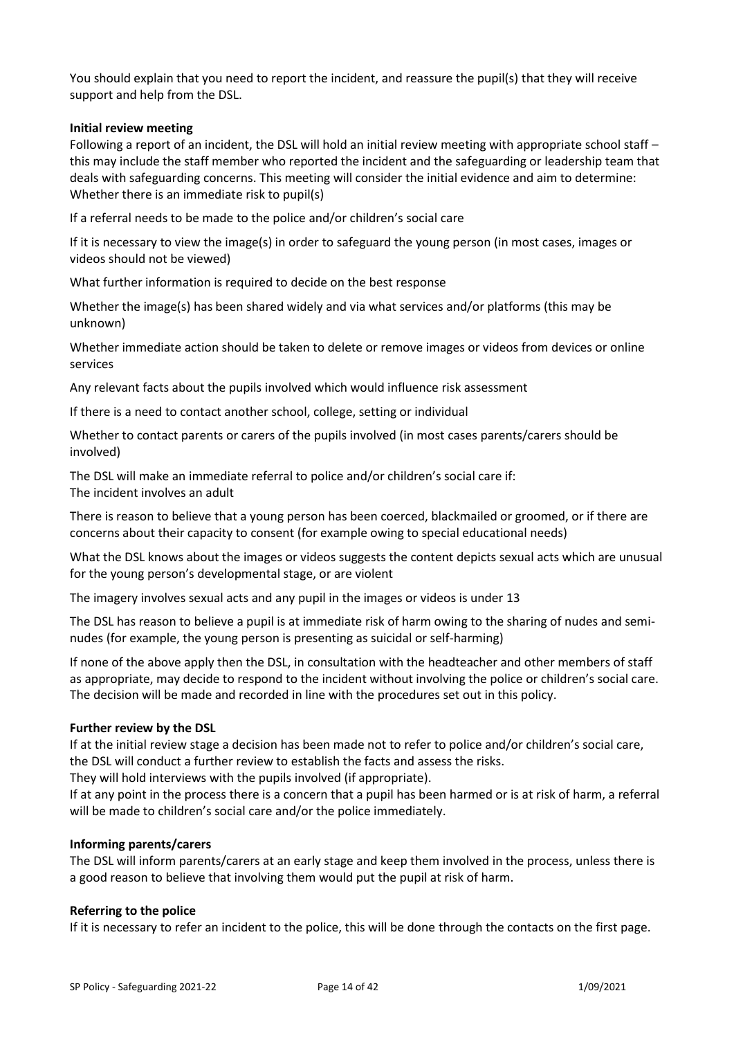You should explain that you need to report the incident, and reassure the pupil(s) that they will receive support and help from the DSL.

## **Initial review meeting**

Following a report of an incident, the DSL will hold an initial review meeting with appropriate school staff – this may include the staff member who reported the incident and the safeguarding or leadership team that deals with safeguarding concerns. This meeting will consider the initial evidence and aim to determine: Whether there is an immediate risk to pupil(s)

If a referral needs to be made to the police and/or children's social care

If it is necessary to view the image(s) in order to safeguard the young person (in most cases, images or videos should not be viewed)

What further information is required to decide on the best response

Whether the image(s) has been shared widely and via what services and/or platforms (this may be unknown)

Whether immediate action should be taken to delete or remove images or videos from devices or online services

Any relevant facts about the pupils involved which would influence risk assessment

If there is a need to contact another school, college, setting or individual

Whether to contact parents or carers of the pupils involved (in most cases parents/carers should be involved)

The DSL will make an immediate referral to police and/or children's social care if: The incident involves an adult

There is reason to believe that a young person has been coerced, blackmailed or groomed, or if there are concerns about their capacity to consent (for example owing to special educational needs)

What the DSL knows about the images or videos suggests the content depicts sexual acts which are unusual for the young person's developmental stage, or are violent

The imagery involves sexual acts and any pupil in the images or videos is under 13

The DSL has reason to believe a pupil is at immediate risk of harm owing to the sharing of nudes and seminudes (for example, the young person is presenting as suicidal or self-harming)

If none of the above apply then the DSL, in consultation with the headteacher and other members of staff as appropriate, may decide to respond to the incident without involving the police or children's social care. The decision will be made and recorded in line with the procedures set out in this policy.

#### **Further review by the DSL**

If at the initial review stage a decision has been made not to refer to police and/or children's social care, the DSL will conduct a further review to establish the facts and assess the risks.

They will hold interviews with the pupils involved (if appropriate).

If at any point in the process there is a concern that a pupil has been harmed or is at risk of harm, a referral will be made to children's social care and/or the police immediately.

#### **Informing parents/carers**

The DSL will inform parents/carers at an early stage and keep them involved in the process, unless there is a good reason to believe that involving them would put the pupil at risk of harm.

#### **Referring to the police**

If it is necessary to refer an incident to the police, this will be done through the contacts on the first page.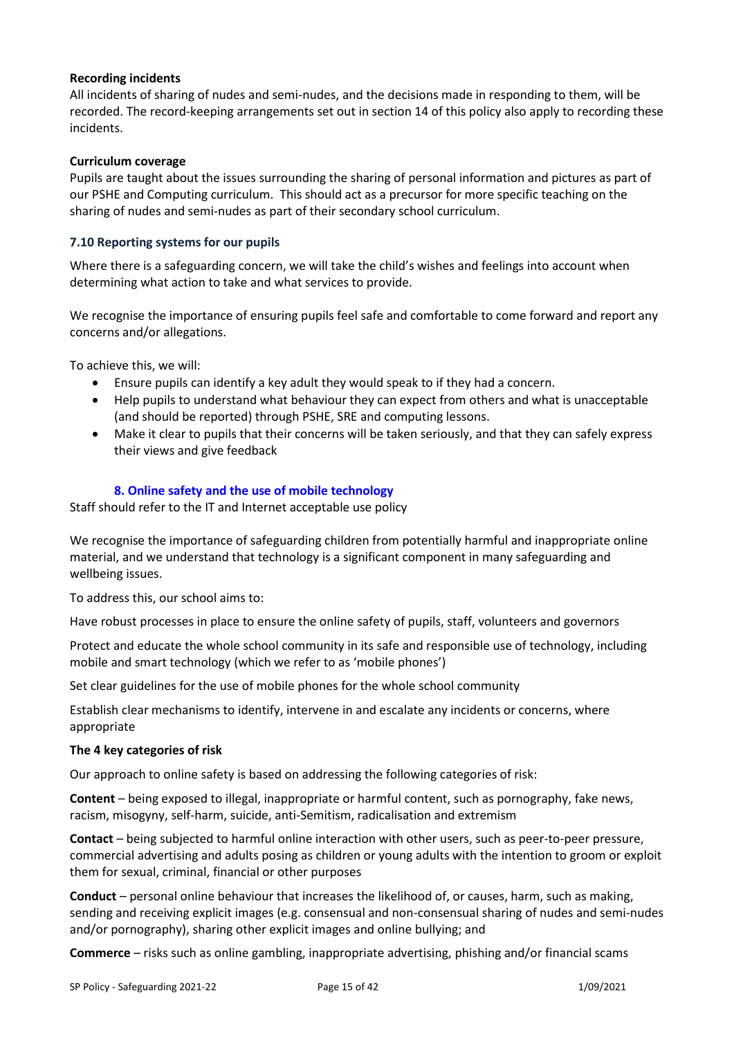## **Recording incidents**

All incidents of sharing of nudes and semi-nudes, and the decisions made in responding to them, will be recorded. The record-keeping arrangements set out in section 14 of this policy also apply to recording these incidents.

## **Curriculum coverage**

Pupils are taught about the issues surrounding the sharing of personal information and pictures as part of our PSHE and Computing curriculum. This should act as a precursor for more specific teaching on the sharing of nudes and semi-nudes as part of their secondary school curriculum.

## **7.10 Reporting systems for our pupils**

Where there is a safeguarding concern, we will take the child's wishes and feelings into account when determining what action to take and what services to provide.

We recognise the importance of ensuring pupils feel safe and comfortable to come forward and report any concerns and/or allegations.

To achieve this, we will:

- Ensure pupils can identify a key adult they would speak to if they had a concern.
- Help pupils to understand what behaviour they can expect from others and what is unacceptable (and should be reported) through PSHE, SRE and computing lessons.
- Make it clear to pupils that their concerns will be taken seriously, and that they can safely express their views and give feedback

## **8. Online safety and the use of mobile technology**

<span id="page-14-0"></span>Staff should refer to the IT and Internet acceptable use policy

We recognise the importance of safeguarding children from potentially harmful and inappropriate online material, and we understand that technology is a significant component in many safeguarding and wellbeing issues.

To address this, our school aims to:

Have robust processes in place to ensure the online safety of pupils, staff, volunteers and governors

Protect and educate the whole school community in its safe and responsible use of technology, including mobile and smart technology (which we refer to as 'mobile phones')

Set clear guidelines for the use of mobile phones for the whole school community

Establish clear mechanisms to identify, intervene in and escalate any incidents or concerns, where appropriate

## **The 4 key categories of risk**

Our approach to online safety is based on addressing the following categories of risk:

**Content** – being exposed to illegal, inappropriate or harmful content, such as pornography, fake news, racism, misogyny, self-harm, suicide, anti-Semitism, radicalisation and extremism

**Contact** – being subjected to harmful online interaction with other users, such as peer-to-peer pressure, commercial advertising and adults posing as children or young adults with the intention to groom or exploit them for sexual, criminal, financial or other purposes

**Conduct** – personal online behaviour that increases the likelihood of, or causes, harm, such as making, sending and receiving explicit images (e.g. consensual and non-consensual sharing of nudes and semi-nudes and/or pornography), sharing other explicit images and online bullying; and

**Commerce** – risks such as online gambling, inappropriate advertising, phishing and/or financial scams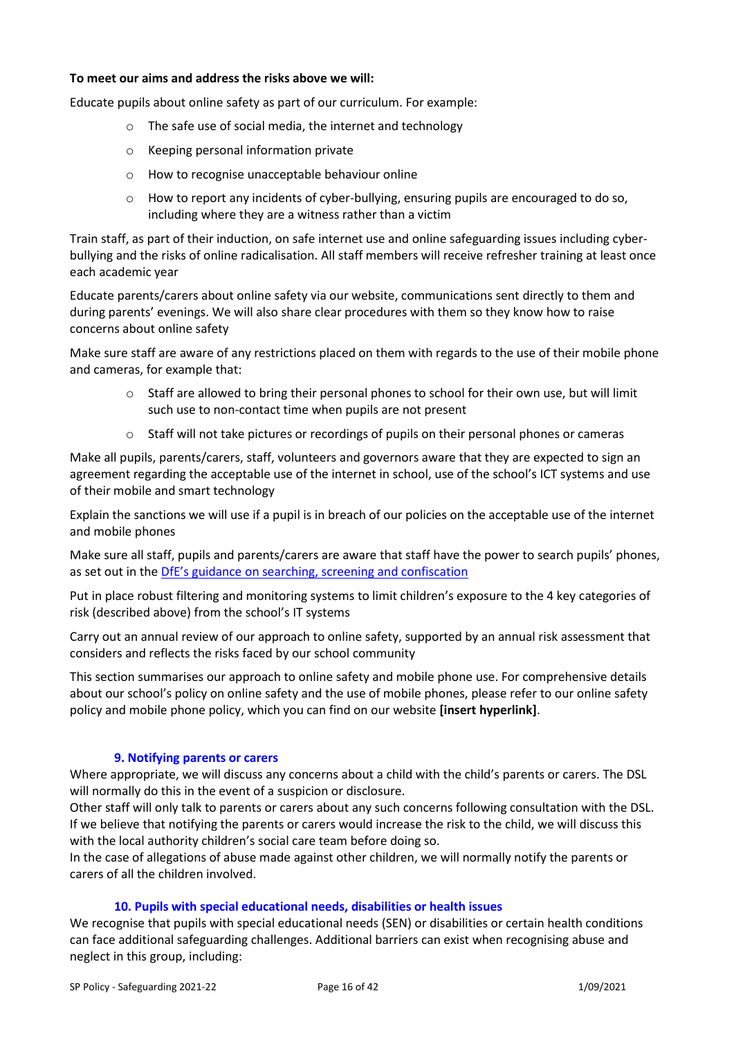#### **To meet our aims and address the risks above we will:**

Educate pupils about online safety as part of our curriculum. For example:

- o The safe use of social media, the internet and technology
- o Keeping personal information private
- o How to recognise unacceptable behaviour online
- o How to report any incidents of cyber-bullying, ensuring pupils are encouraged to do so, including where they are a witness rather than a victim

Train staff, as part of their induction, on safe internet use and online safeguarding issues including cyberbullying and the risks of online radicalisation. All staff members will receive refresher training at least once each academic year

Educate parents/carers about online safety via our website, communications sent directly to them and during parents' evenings. We will also share clear procedures with them so they know how to raise concerns about online safety

Make sure staff are aware of any restrictions placed on them with regards to the use of their mobile phone and cameras, for example that:

- $\circ$  Staff are allowed to bring their personal phones to school for their own use, but will limit such use to non-contact time when pupils are not present
- o Staff will not take pictures or recordings of pupils on their personal phones or cameras

Make all pupils, parents/carers, staff, volunteers and governors aware that they are expected to sign an agreement regarding the acceptable use of the internet in school, use of the school's ICT systems and use of their mobile and smart technology

Explain the sanctions we will use if a pupil is in breach of our policies on the acceptable use of the internet and mobile phones

Make sure all staff, pupils and parents/carers are aware that staff have the power to search pupils' phones, as set out in the [DfE's guidance on searching, screening and confiscation](https://www.gov.uk/government/publications/searching-screening-and-confiscation)

Put in place robust filtering and monitoring systems to limit children's exposure to the 4 key categories of risk (described above) from the school's IT systems

Carry out an annual review of our approach to online safety, supported by an annual risk assessment that considers and reflects the risks faced by our school community

This section summarises our approach to online safety and mobile phone use. For comprehensive details about our school's policy on online safety and the use of mobile phones, please refer to our online safety policy and mobile phone policy, which you can find on our website **[insert hyperlink]**.

## **9. Notifying parents or carers**

<span id="page-15-0"></span>Where appropriate, we will discuss any concerns about a child with the child's parents or carers. The DSL will normally do this in the event of a suspicion or disclosure.

Other staff will only talk to parents or carers about any such concerns following consultation with the DSL. If we believe that notifying the parents or carers would increase the risk to the child, we will discuss this with the local authority children's social care team before doing so.

In the case of allegations of abuse made against other children, we will normally notify the parents or carers of all the children involved.

## **10. Pupils with special educational needs, disabilities or health issues**

<span id="page-15-1"></span>We recognise that pupils with special educational needs (SEN) or disabilities or certain health conditions can face additional safeguarding challenges. Additional barriers can exist when recognising abuse and neglect in this group, including: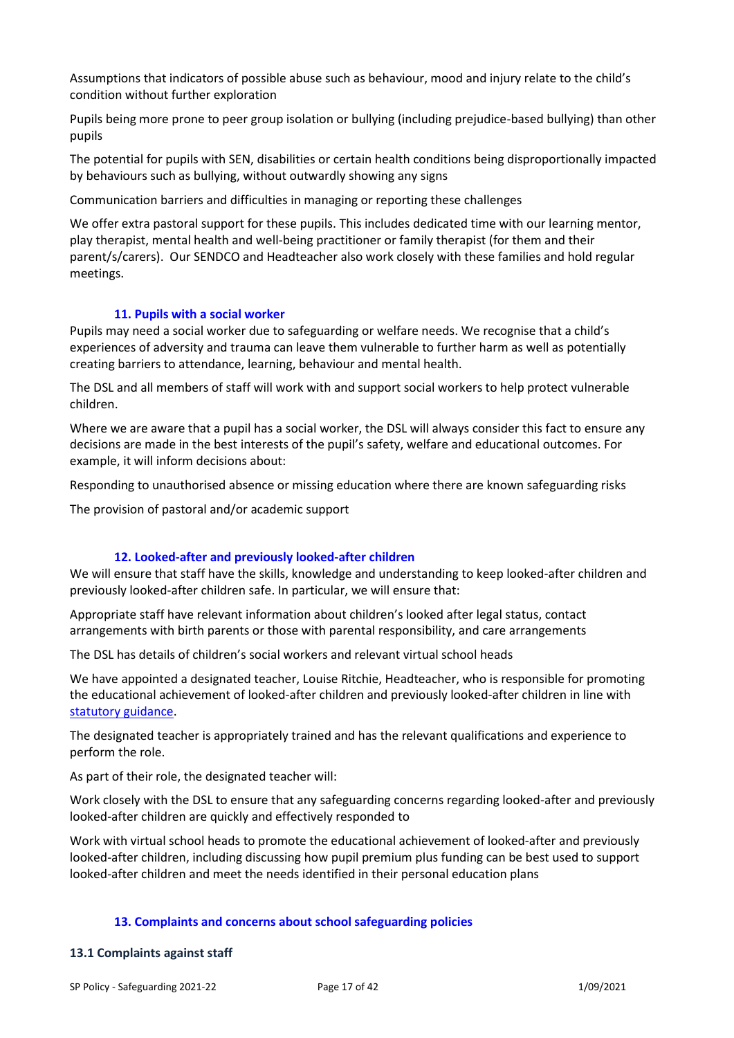Assumptions that indicators of possible abuse such as behaviour, mood and injury relate to the child's condition without further exploration

Pupils being more prone to peer group isolation or bullying (including prejudice-based bullying) than other pupils

The potential for pupils with SEN, disabilities or certain health conditions being disproportionally impacted by behaviours such as bullying, without outwardly showing any signs

Communication barriers and difficulties in managing or reporting these challenges

We offer extra pastoral support for these pupils. This includes dedicated time with our learning mentor, play therapist, mental health and well-being practitioner or family therapist (for them and their parent/s/carers). Our SENDCO and Headteacher also work closely with these families and hold regular meetings.

#### **11. Pupils with a social worker**

<span id="page-16-0"></span>Pupils may need a social worker due to safeguarding or welfare needs. We recognise that a child's experiences of adversity and trauma can leave them vulnerable to further harm as well as potentially creating barriers to attendance, learning, behaviour and mental health.

The DSL and all members of staff will work with and support social workers to help protect vulnerable children.

Where we are aware that a pupil has a social worker, the DSL will always consider this fact to ensure any decisions are made in the best interests of the pupil's safety, welfare and educational outcomes. For example, it will inform decisions about:

Responding to unauthorised absence or missing education where there are known safeguarding risks

The provision of pastoral and/or academic support

## **12. Looked-after and previously looked-after children**

<span id="page-16-1"></span>We will ensure that staff have the skills, knowledge and understanding to keep looked-after children and previously looked-after children safe. In particular, we will ensure that:

Appropriate staff have relevant information about children's looked after legal status, contact arrangements with birth parents or those with parental responsibility, and care arrangements

The DSL has details of children's social workers and relevant virtual school heads

We have appointed a designated teacher, Louise Ritchie, Headteacher, who is responsible for promoting the educational achievement of looked-after children and previously looked-after children in line with [statutory guidance.](https://www.gov.uk/government/publications/designated-teacher-for-looked-after-children)

The designated teacher is appropriately trained and has the relevant qualifications and experience to perform the role.

As part of their role, the designated teacher will:

Work closely with the DSL to ensure that any safeguarding concerns regarding looked-after and previously looked-after children are quickly and effectively responded to

Work with virtual school heads to promote the educational achievement of looked-after and previously looked-after children, including discussing how pupil premium plus funding can be best used to support looked-after children and meet the needs identified in their personal education plans

## **13. Complaints and concerns about school safeguarding policies**

#### <span id="page-16-2"></span>**13.1 Complaints against staff**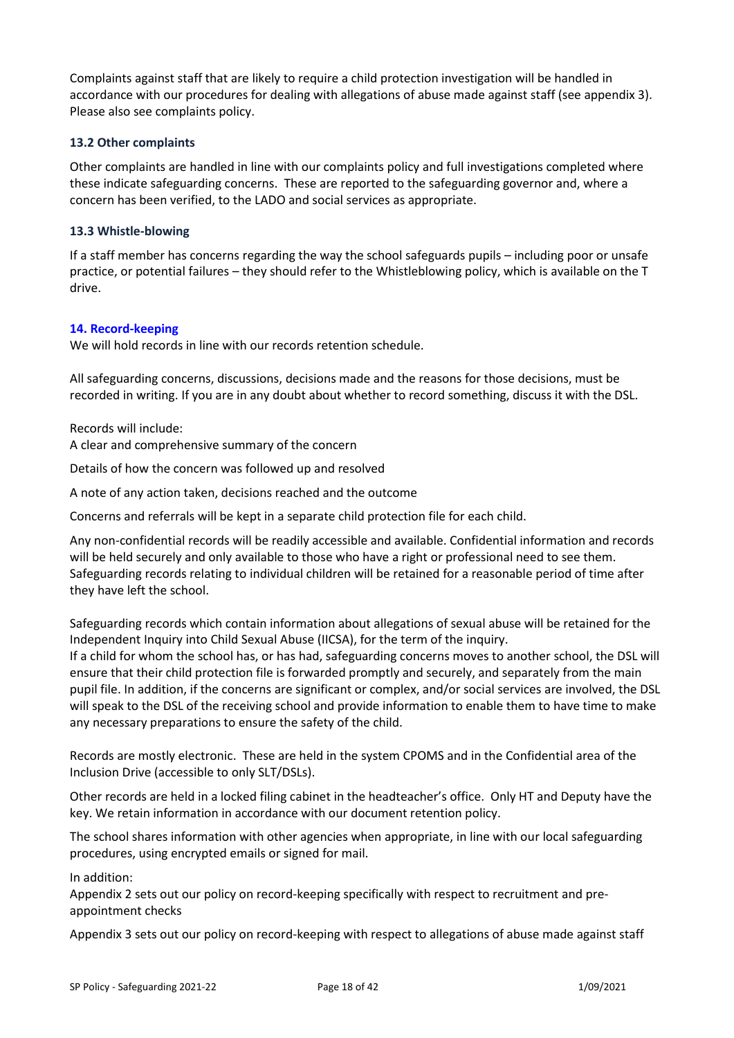Complaints against staff that are likely to require a child protection investigation will be handled in accordance with our procedures for dealing with allegations of abuse made against staff (see appendix 3). Please also see complaints policy.

## **13.2 Other complaints**

Other complaints are handled in line with our complaints policy and full investigations completed where these indicate safeguarding concerns. These are reported to the safeguarding governor and, where a concern has been verified, to the LADO and social services as appropriate.

## **13.3 Whistle-blowing**

If a staff member has concerns regarding the way the school safeguards pupils – including poor or unsafe practice, or potential failures – they should refer to the Whistleblowing policy, which is available on the T drive.

#### <span id="page-17-0"></span>**14. Record-keeping**

We will hold records in line with our records retention schedule.

All safeguarding concerns, discussions, decisions made and the reasons for those decisions, must be recorded in writing. If you are in any doubt about whether to record something, discuss it with the DSL.

Records will include: A clear and comprehensive summary of the concern

Details of how the concern was followed up and resolved

A note of any action taken, decisions reached and the outcome

Concerns and referrals will be kept in a separate child protection file for each child.

Any non-confidential records will be readily accessible and available. Confidential information and records will be held securely and only available to those who have a right or professional need to see them. Safeguarding records relating to individual children will be retained for a reasonable period of time after they have left the school.

Safeguarding records which contain information about allegations of sexual abuse will be retained for the Independent Inquiry into Child Sexual Abuse (IICSA), for the term of the inquiry.

If a child for whom the school has, or has had, safeguarding concerns moves to another school, the DSL will ensure that their child protection file is forwarded promptly and securely, and separately from the main pupil file. In addition, if the concerns are significant or complex, and/or social services are involved, the DSL will speak to the DSL of the receiving school and provide information to enable them to have time to make any necessary preparations to ensure the safety of the child.

Records are mostly electronic. These are held in the system CPOMS and in the Confidential area of the Inclusion Drive (accessible to only SLT/DSLs).

Other records are held in a locked filing cabinet in the headteacher's office. Only HT and Deputy have the key. We retain information in accordance with our document retention policy.

The school shares information with other agencies when appropriate, in line with our local safeguarding procedures, using encrypted emails or signed for mail.

In addition:

Appendix 2 sets out our policy on record-keeping specifically with respect to recruitment and preappointment checks

Appendix 3 sets out our policy on record-keeping with respect to allegations of abuse made against staff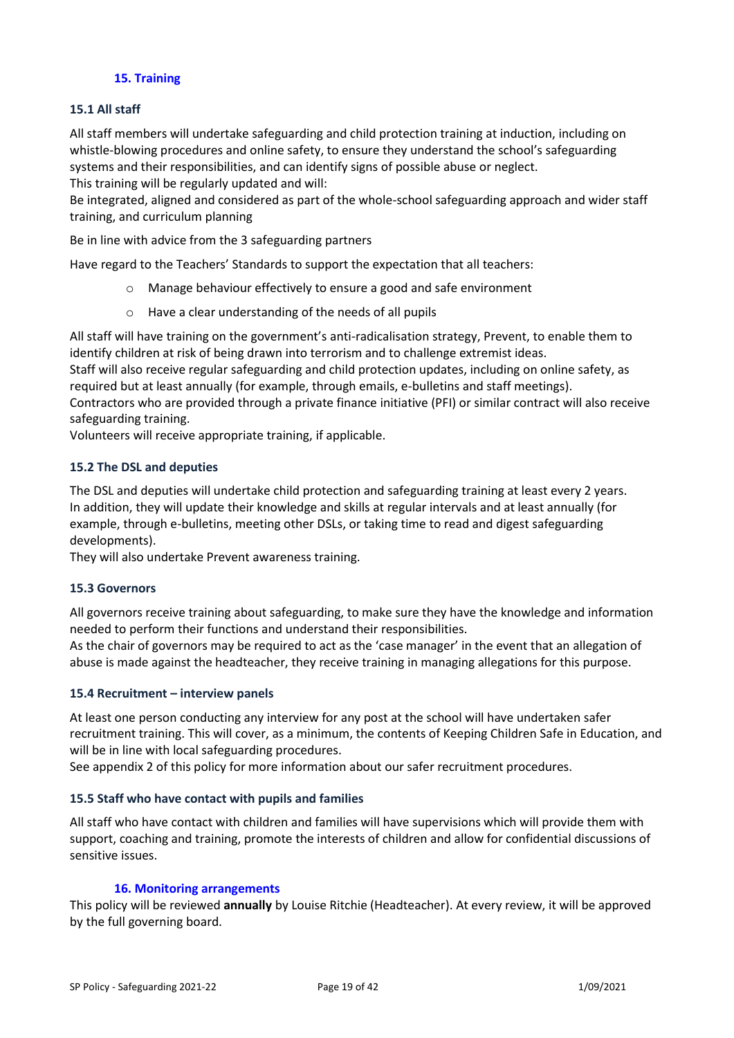## **15. Training**

## <span id="page-18-0"></span>**15.1 All staff**

All staff members will undertake safeguarding and child protection training at induction, including on whistle-blowing procedures and online safety, to ensure they understand the school's safeguarding systems and their responsibilities, and can identify signs of possible abuse or neglect.

This training will be regularly updated and will:

Be integrated, aligned and considered as part of the whole-school safeguarding approach and wider staff training, and curriculum planning

Be in line with advice from the 3 safeguarding partners

Have regard to the Teachers' Standards to support the expectation that all teachers:

- o Manage behaviour effectively to ensure a good and safe environment
- o Have a clear understanding of the needs of all pupils

All staff will have training on the government's anti-radicalisation strategy, Prevent, to enable them to identify children at risk of being drawn into terrorism and to challenge extremist ideas. Staff will also receive regular safeguarding and child protection updates, including on online safety, as required but at least annually (for example, through emails, e-bulletins and staff meetings).

Contractors who are provided through a private finance initiative (PFI) or similar contract will also receive safeguarding training.

Volunteers will receive appropriate training, if applicable.

## **15.2 The DSL and deputies**

The DSL and deputies will undertake child protection and safeguarding training at least every 2 years. In addition, they will update their knowledge and skills at regular intervals and at least annually (for example, through e-bulletins, meeting other DSLs, or taking time to read and digest safeguarding developments).

They will also undertake Prevent awareness training.

## **15.3 Governors**

All governors receive training about safeguarding, to make sure they have the knowledge and information needed to perform their functions and understand their responsibilities.

As the chair of governors may be required to act as the 'case manager' in the event that an allegation of abuse is made against the headteacher, they receive training in managing allegations for this purpose.

#### **15.4 Recruitment – interview panels**

At least one person conducting any interview for any post at the school will have undertaken safer recruitment training. This will cover, as a minimum, the contents of Keeping Children Safe in Education, and will be in line with local safeguarding procedures.

See appendix 2 of this policy for more information about our safer recruitment procedures.

## **15.5 Staff who have contact with pupils and families**

All staff who have contact with children and families will have supervisions which will provide them with support, coaching and training, promote the interests of children and allow for confidential discussions of sensitive issues.

## **16. Monitoring arrangements**

<span id="page-18-1"></span>This policy will be reviewed **annually** by Louise Ritchie (Headteacher). At every review, it will be approved by the full governing board.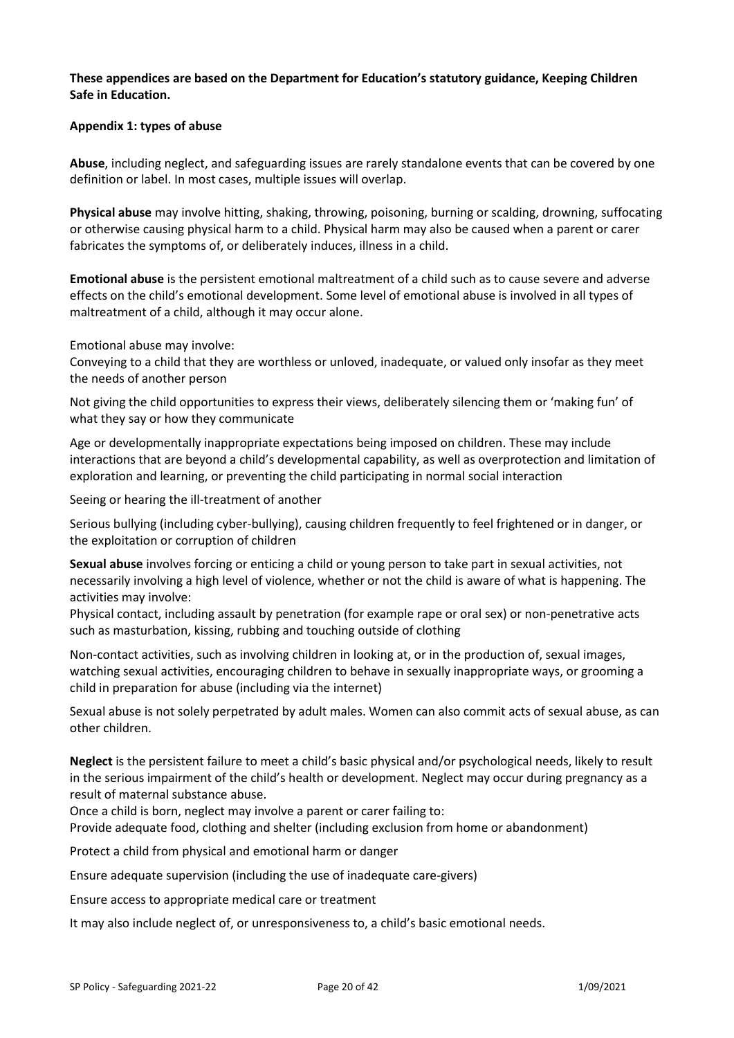## **These appendices are based on the Department for Education's statutory guidance, Keeping Children Safe in Education.**

#### <span id="page-19-0"></span>**Appendix 1: types of abuse**

**Abuse**, including neglect, and safeguarding issues are rarely standalone events that can be covered by one definition or label. In most cases, multiple issues will overlap.

**Physical abuse** may involve hitting, shaking, throwing, poisoning, burning or scalding, drowning, suffocating or otherwise causing physical harm to a child. Physical harm may also be caused when a parent or carer fabricates the symptoms of, or deliberately induces, illness in a child.

**Emotional abuse** is the persistent emotional maltreatment of a child such as to cause severe and adverse effects on the child's emotional development. Some level of emotional abuse is involved in all types of maltreatment of a child, although it may occur alone.

Emotional abuse may involve:

Conveying to a child that they are worthless or unloved, inadequate, or valued only insofar as they meet the needs of another person

Not giving the child opportunities to express their views, deliberately silencing them or 'making fun' of what they say or how they communicate

Age or developmentally inappropriate expectations being imposed on children. These may include interactions that are beyond a child's developmental capability, as well as overprotection and limitation of exploration and learning, or preventing the child participating in normal social interaction

Seeing or hearing the ill-treatment of another

Serious bullying (including cyber-bullying), causing children frequently to feel frightened or in danger, or the exploitation or corruption of children

**Sexual abuse** involves forcing or enticing a child or young person to take part in sexual activities, not necessarily involving a high level of violence, whether or not the child is aware of what is happening. The activities may involve:

Physical contact, including assault by penetration (for example rape or oral sex) or non-penetrative acts such as masturbation, kissing, rubbing and touching outside of clothing

Non-contact activities, such as involving children in looking at, or in the production of, sexual images, watching sexual activities, encouraging children to behave in sexually inappropriate ways, or grooming a child in preparation for abuse (including via the internet)

Sexual abuse is not solely perpetrated by adult males. Women can also commit acts of sexual abuse, as can other children.

**Neglect** is the persistent failure to meet a child's basic physical and/or psychological needs, likely to result in the serious impairment of the child's health or development. Neglect may occur during pregnancy as a result of maternal substance abuse.

Once a child is born, neglect may involve a parent or carer failing to:

Provide adequate food, clothing and shelter (including exclusion from home or abandonment)

Protect a child from physical and emotional harm or danger

Ensure adequate supervision (including the use of inadequate care-givers)

Ensure access to appropriate medical care or treatment

It may also include neglect of, or unresponsiveness to, a child's basic emotional needs.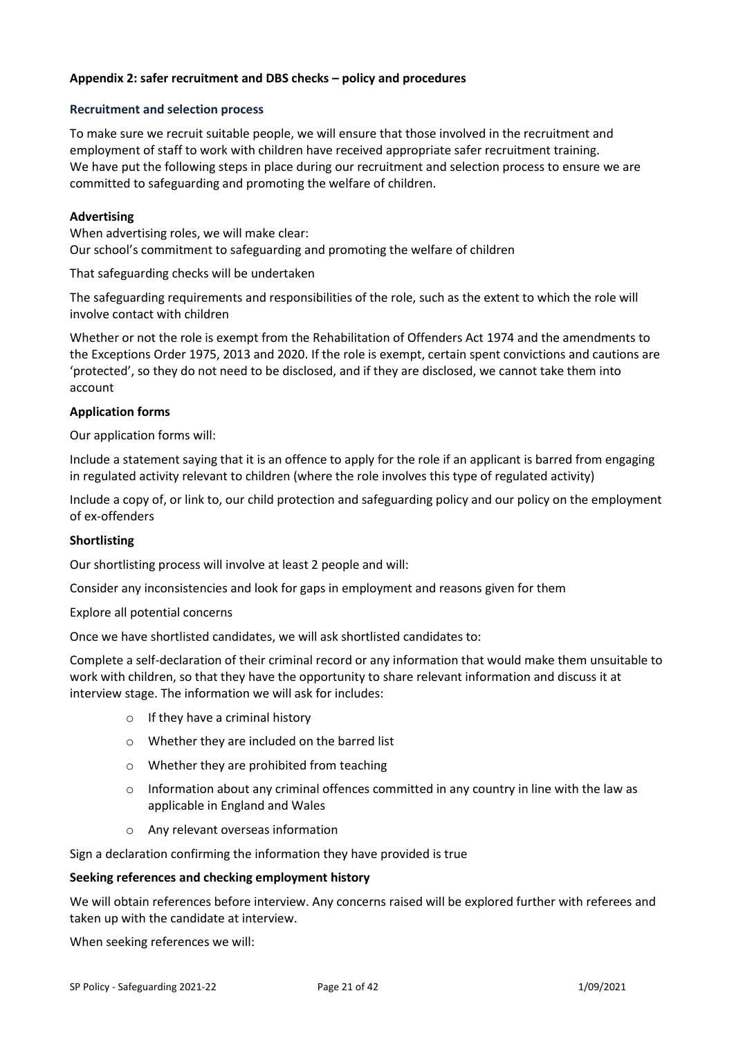## <span id="page-20-0"></span>**Appendix 2: safer recruitment and DBS checks – policy and procedures**

#### **Recruitment and selection process**

To make sure we recruit suitable people, we will ensure that those involved in the recruitment and employment of staff to work with children have received appropriate safer recruitment training. We have put the following steps in place during our recruitment and selection process to ensure we are committed to safeguarding and promoting the welfare of children.

#### **Advertising**

When advertising roles, we will make clear: Our school's commitment to safeguarding and promoting the welfare of children

That safeguarding checks will be undertaken

The safeguarding requirements and responsibilities of the role, such as the extent to which the role will involve contact with children

Whether or not the role is exempt from the Rehabilitation of Offenders Act 1974 and the amendments to the Exceptions Order 1975, 2013 and 2020. If the role is exempt, certain spent convictions and cautions are 'protected', so they do not need to be disclosed, and if they are disclosed, we cannot take them into account

#### **Application forms**

Our application forms will:

Include a statement saying that it is an offence to apply for the role if an applicant is barred from engaging in regulated activity relevant to children (where the role involves this type of regulated activity)

Include a copy of, or link to, our child protection and safeguarding policy and our policy on the employment of ex-offenders

## **Shortlisting**

Our shortlisting process will involve at least 2 people and will:

Consider any inconsistencies and look for gaps in employment and reasons given for them

Explore all potential concerns

Once we have shortlisted candidates, we will ask shortlisted candidates to:

Complete a self-declaration of their criminal record or any information that would make them unsuitable to work with children, so that they have the opportunity to share relevant information and discuss it at interview stage. The information we will ask for includes:

- o If they have a criminal history
- o Whether they are included on the barred list
- o Whether they are prohibited from teaching
- $\circ$  Information about any criminal offences committed in any country in line with the law as applicable in England and Wales
- o Any relevant overseas information

Sign a declaration confirming the information they have provided is true

#### **Seeking references and checking employment history**

We will obtain references before interview. Any concerns raised will be explored further with referees and taken up with the candidate at interview.

When seeking references we will: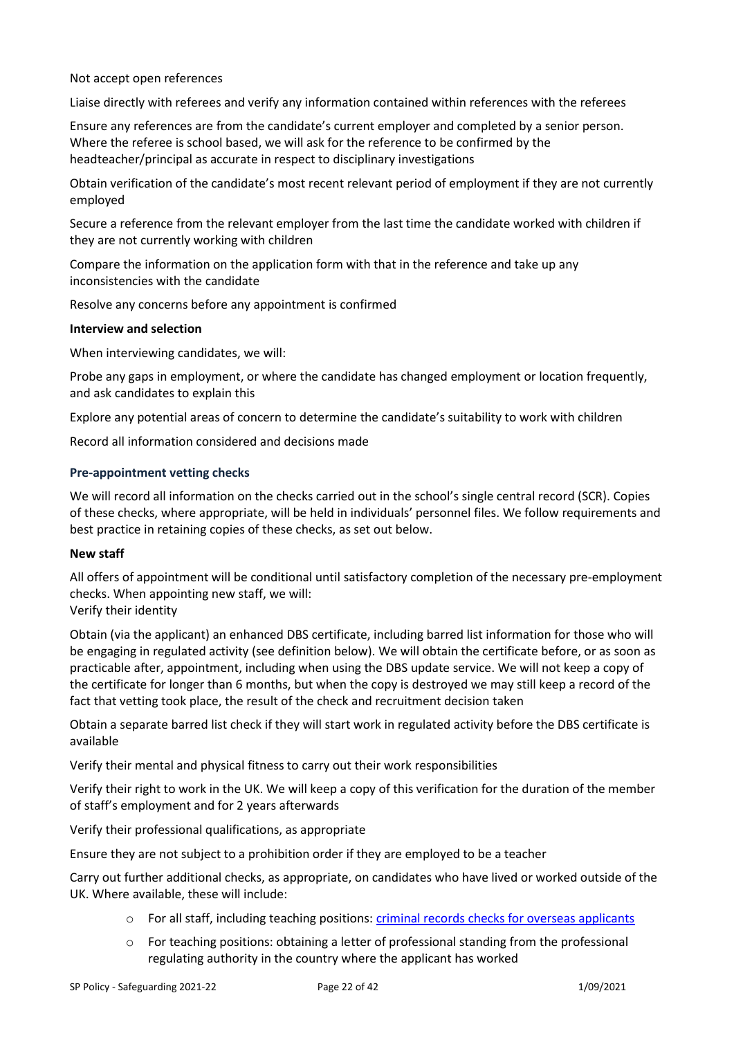## Not accept open references

Liaise directly with referees and verify any information contained within references with the referees

Ensure any references are from the candidate's current employer and completed by a senior person. Where the referee is school based, we will ask for the reference to be confirmed by the headteacher/principal as accurate in respect to disciplinary investigations

Obtain verification of the candidate's most recent relevant period of employment if they are not currently employed

Secure a reference from the relevant employer from the last time the candidate worked with children if they are not currently working with children

Compare the information on the application form with that in the reference and take up any inconsistencies with the candidate

Resolve any concerns before any appointment is confirmed

## **Interview and selection**

When interviewing candidates, we will:

Probe any gaps in employment, or where the candidate has changed employment or location frequently, and ask candidates to explain this

Explore any potential areas of concern to determine the candidate's suitability to work with children

Record all information considered and decisions made

#### **Pre-appointment vetting checks**

We will record all information on the checks carried out in the school's single central record (SCR). Copies of these checks, where appropriate, will be held in individuals' personnel files. We follow requirements and best practice in retaining copies of these checks, as set out below.

## **New staff**

All offers of appointment will be conditional until satisfactory completion of the necessary pre-employment checks. When appointing new staff, we will:

Verify their identity

Obtain (via the applicant) an enhanced DBS certificate, including barred list information for those who will be engaging in regulated activity (see definition below). We will obtain the certificate before, or as soon as practicable after, appointment, including when using the DBS update service. We will not keep a copy of the certificate for longer than 6 months, but when the copy is destroyed we may still keep a record of the fact that vetting took place, the result of the check and recruitment decision taken

Obtain a separate barred list check if they will start work in regulated activity before the DBS certificate is available

Verify their mental and physical fitness to carry out their work responsibilities

Verify their right to work in the UK. We will keep a copy of this verification for the duration of the member of staff's employment and for 2 years afterwards

Verify their professional qualifications, as appropriate

Ensure they are not subject to a prohibition order if they are employed to be a teacher

Carry out further additional checks, as appropriate, on candidates who have lived or worked outside of the UK. Where available, these will include:

- o For all staff, including teaching positions: [criminal records checks for overseas applicants](https://www.gov.uk/government/publications/criminal-records-checks-for-overseas-applicants)
- o For teaching positions: obtaining a letter of professional standing from the professional regulating authority in the country where the applicant has worked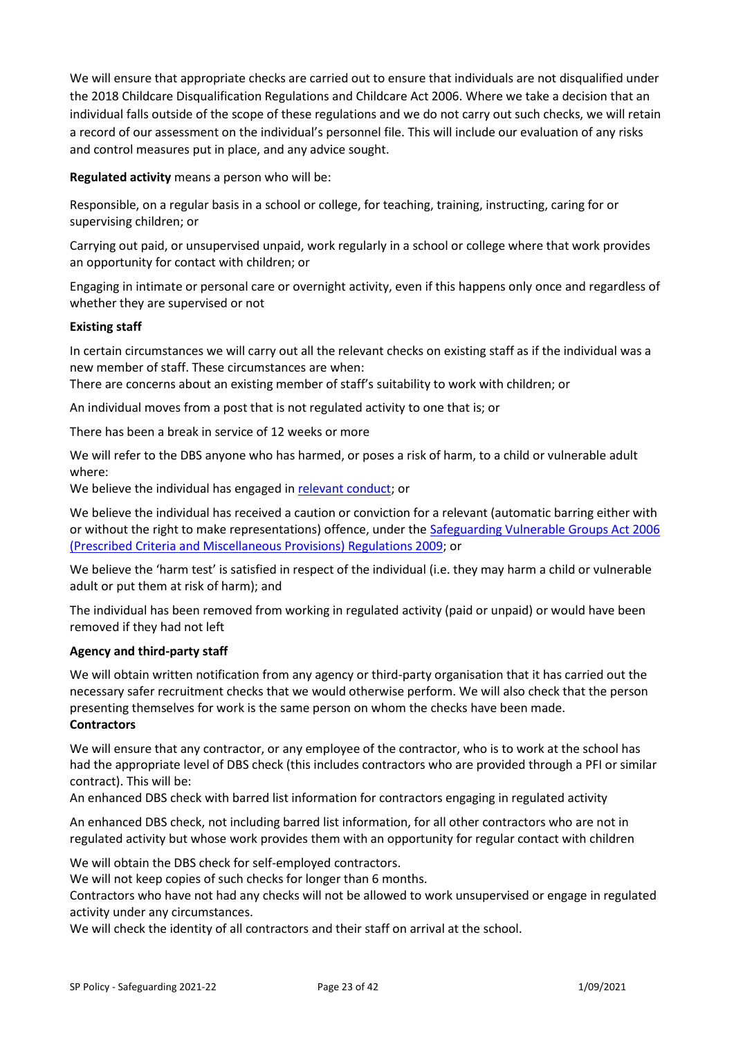We will ensure that appropriate checks are carried out to ensure that individuals are not disqualified under the 2018 Childcare Disqualification Regulations and Childcare Act 2006. Where we take a decision that an individual falls outside of the scope of these regulations and we do not carry out such checks, we will retain a record of our assessment on the individual's personnel file. This will include our evaluation of any risks and control measures put in place, and any advice sought.

**Regulated activity** means a person who will be:

Responsible, on a regular basis in a school or college, for teaching, training, instructing, caring for or supervising children; or

Carrying out paid, or unsupervised unpaid, work regularly in a school or college where that work provides an opportunity for contact with children; or

Engaging in intimate or personal care or overnight activity, even if this happens only once and regardless of whether they are supervised or not

## **Existing staff**

In certain circumstances we will carry out all the relevant checks on existing staff as if the individual was a new member of staff. These circumstances are when:

There are concerns about an existing member of staff's suitability to work with children; or

An individual moves from a post that is not regulated activity to one that is; or

There has been a break in service of 12 weeks or more

We will refer to the DBS anyone who has harmed, or poses a risk of harm, to a child or vulnerable adult where:

We believe the individual has engaged in [relevant conduct;](https://www.gov.uk/guidance/making-barring-referrals-to-the-dbs#relevant-conduct-in-relation-to-children) or

We believe the individual has received a caution or conviction for a relevant (automatic barring either with or without the right to make representations) offence, under the **Safeguarding Vulnerable Groups Act 2006** [\(Prescribed Criteria and Miscellaneous Provisions\) Regulations 2009;](http://www.legislation.gov.uk/uksi/2009/37/contents/made) or

We believe the 'harm test' is satisfied in respect of the individual (i.e. they may harm a child or vulnerable adult or put them at risk of harm); and

The individual has been removed from working in regulated activity (paid or unpaid) or would have been removed if they had not left

#### **Agency and third-party staff**

We will obtain written notification from any agency or third-party organisation that it has carried out the necessary safer recruitment checks that we would otherwise perform. We will also check that the person presenting themselves for work is the same person on whom the checks have been made. **Contractors** 

We will ensure that any contractor, or any employee of the contractor, who is to work at the school has had the appropriate level of DBS check (this includes contractors who are provided through a PFI or similar contract). This will be:

An enhanced DBS check with barred list information for contractors engaging in regulated activity

An enhanced DBS check, not including barred list information, for all other contractors who are not in regulated activity but whose work provides them with an opportunity for regular contact with children

We will obtain the DBS check for self-employed contractors.

We will not keep copies of such checks for longer than 6 months.

Contractors who have not had any checks will not be allowed to work unsupervised or engage in regulated activity under any circumstances.

We will check the identity of all contractors and their staff on arrival at the school.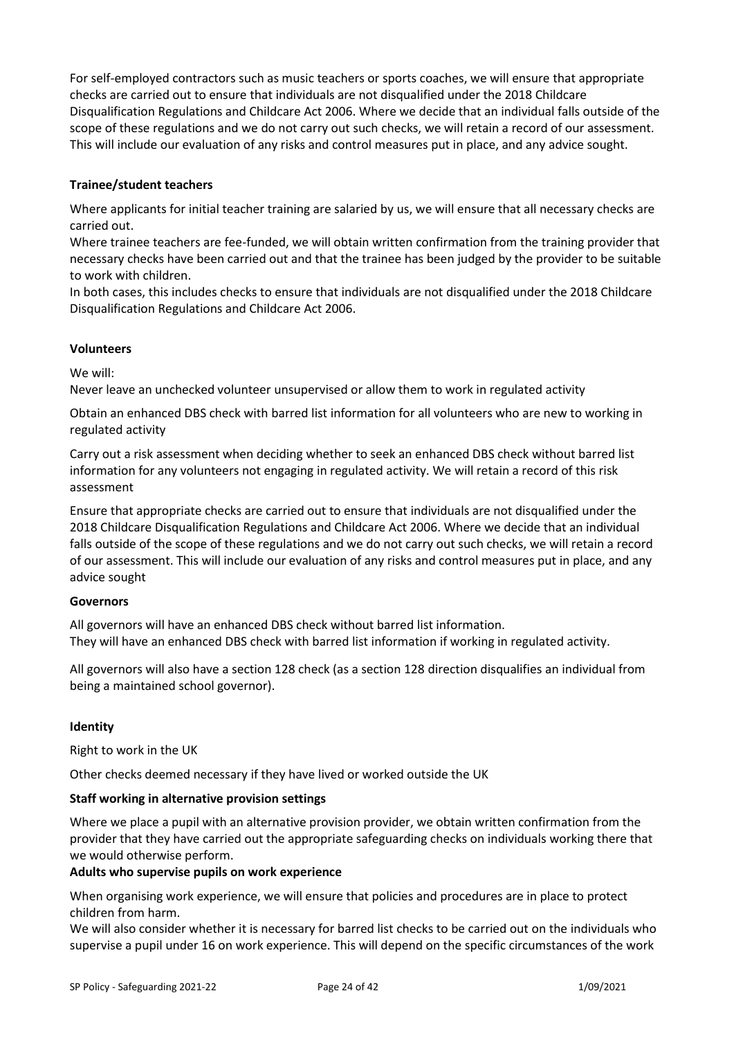For self-employed contractors such as music teachers or sports coaches, we will ensure that appropriate checks are carried out to ensure that individuals are not disqualified under the 2018 Childcare Disqualification Regulations and Childcare Act 2006. Where we decide that an individual falls outside of the scope of these regulations and we do not carry out such checks, we will retain a record of our assessment. This will include our evaluation of any risks and control measures put in place, and any advice sought.

## **Trainee/student teachers**

Where applicants for initial teacher training are salaried by us, we will ensure that all necessary checks are carried out.

Where trainee teachers are fee-funded, we will obtain written confirmation from the training provider that necessary checks have been carried out and that the trainee has been judged by the provider to be suitable to work with children.

In both cases, this includes checks to ensure that individuals are not disqualified under the 2018 Childcare Disqualification Regulations and Childcare Act 2006.

## **Volunteers**

We will:

Never leave an unchecked volunteer unsupervised or allow them to work in regulated activity

Obtain an enhanced DBS check with barred list information for all volunteers who are new to working in regulated activity

Carry out a risk assessment when deciding whether to seek an enhanced DBS check without barred list information for any volunteers not engaging in regulated activity. We will retain a record of this risk assessment

Ensure that appropriate checks are carried out to ensure that individuals are not disqualified under the 2018 Childcare Disqualification Regulations and Childcare Act 2006. Where we decide that an individual falls outside of the scope of these regulations and we do not carry out such checks, we will retain a record of our assessment. This will include our evaluation of any risks and control measures put in place, and any advice sought

## **Governors**

All governors will have an enhanced DBS check without barred list information. They will have an enhanced DBS check with barred list information if working in regulated activity.

All governors will also have a section 128 check (as a section 128 direction disqualifies an individual from being a maintained school governor).

## **Identity**

Right to work in the UK

Other checks deemed necessary if they have lived or worked outside the UK

## **Staff working in alternative provision settings**

Where we place a pupil with an alternative provision provider, we obtain written confirmation from the provider that they have carried out the appropriate safeguarding checks on individuals working there that we would otherwise perform.

## **Adults who supervise pupils on work experience**

When organising work experience, we will ensure that policies and procedures are in place to protect children from harm.

We will also consider whether it is necessary for barred list checks to be carried out on the individuals who supervise a pupil under 16 on work experience. This will depend on the specific circumstances of the work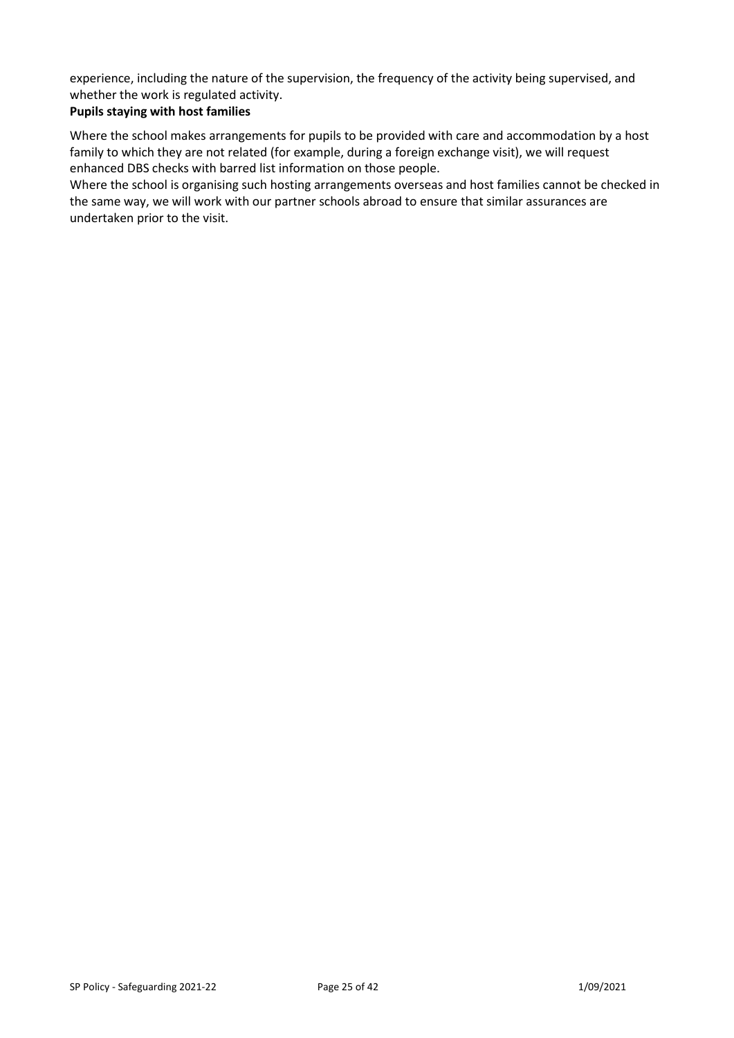experience, including the nature of the supervision, the frequency of the activity being supervised, and whether the work is regulated activity.

## **Pupils staying with host families**

Where the school makes arrangements for pupils to be provided with care and accommodation by a host family to which they are not related (for example, during a foreign exchange visit), we will request enhanced DBS checks with barred list information on those people.

Where the school is organising such hosting arrangements overseas and host families cannot be checked in the same way, we will work with our partner schools abroad to ensure that similar assurances are undertaken prior to the visit.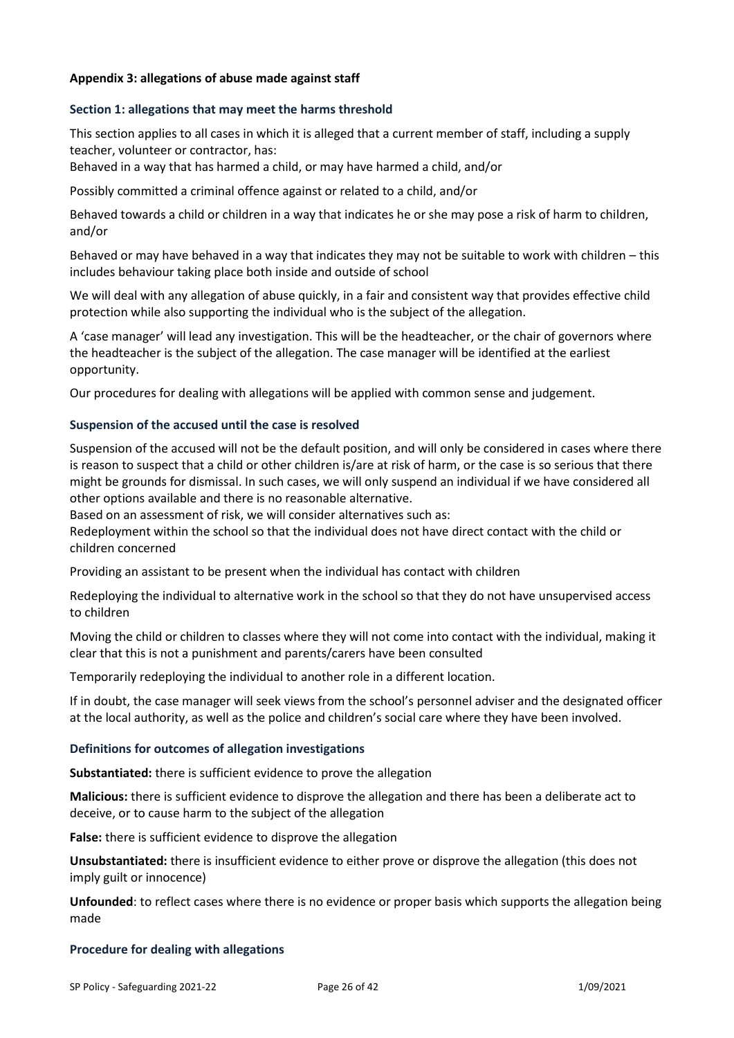## <span id="page-25-0"></span>**Appendix 3: allegations of abuse made against staff**

## **Section 1: allegations that may meet the harms threshold**

This section applies to all cases in which it is alleged that a current member of staff, including a supply teacher, volunteer or contractor, has:

Behaved in a way that has harmed a child, or may have harmed a child, and/or

Possibly committed a criminal offence against or related to a child, and/or

Behaved towards a child or children in a way that indicates he or she may pose a risk of harm to children, and/or

Behaved or may have behaved in a way that indicates they may not be suitable to work with children – this includes behaviour taking place both inside and outside of school

We will deal with any allegation of abuse quickly, in a fair and consistent way that provides effective child protection while also supporting the individual who is the subject of the allegation.

A 'case manager' will lead any investigation. This will be the headteacher, or the chair of governors where the headteacher is the subject of the allegation. The case manager will be identified at the earliest opportunity.

Our procedures for dealing with allegations will be applied with common sense and judgement.

#### **Suspension of the accused until the case is resolved**

Suspension of the accused will not be the default position, and will only be considered in cases where there is reason to suspect that a child or other children is/are at risk of harm, or the case is so serious that there might be grounds for dismissal. In such cases, we will only suspend an individual if we have considered all other options available and there is no reasonable alternative.

Based on an assessment of risk, we will consider alternatives such as:

Redeployment within the school so that the individual does not have direct contact with the child or children concerned

Providing an assistant to be present when the individual has contact with children

Redeploying the individual to alternative work in the school so that they do not have unsupervised access to children

Moving the child or children to classes where they will not come into contact with the individual, making it clear that this is not a punishment and parents/carers have been consulted

Temporarily redeploying the individual to another role in a different location.

If in doubt, the case manager will seek views from the school's personnel adviser and the designated officer at the local authority, as well as the police and children's social care where they have been involved.

#### **Definitions for outcomes of allegation investigations**

**Substantiated:** there is sufficient evidence to prove the allegation

**Malicious:** there is sufficient evidence to disprove the allegation and there has been a deliberate act to deceive, or to cause harm to the subject of the allegation

**False:** there is sufficient evidence to disprove the allegation

**Unsubstantiated:** there is insufficient evidence to either prove or disprove the allegation (this does not imply guilt or innocence)

**Unfounded**: to reflect cases where there is no evidence or proper basis which supports the allegation being made

#### **Procedure for dealing with allegations**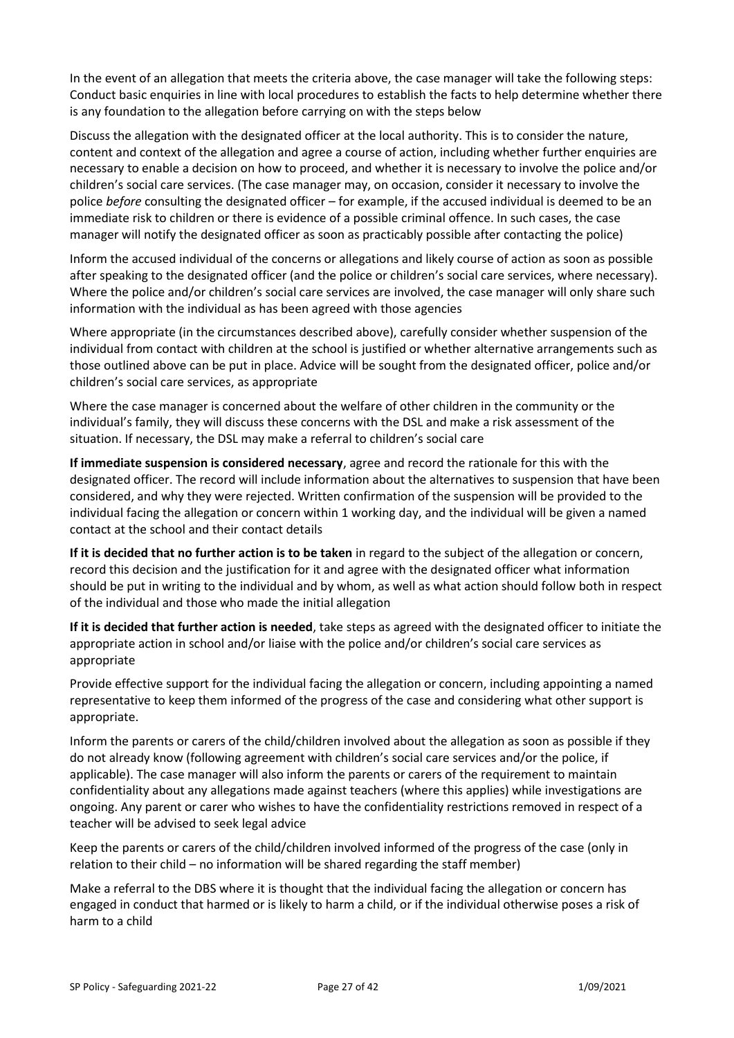In the event of an allegation that meets the criteria above, the case manager will take the following steps: Conduct basic enquiries in line with local procedures to establish the facts to help determine whether there is any foundation to the allegation before carrying on with the steps below

Discuss the allegation with the designated officer at the local authority. This is to consider the nature, content and context of the allegation and agree a course of action, including whether further enquiries are necessary to enable a decision on how to proceed, and whether it is necessary to involve the police and/or children's social care services. (The case manager may, on occasion, consider it necessary to involve the police *before* consulting the designated officer – for example, if the accused individual is deemed to be an immediate risk to children or there is evidence of a possible criminal offence. In such cases, the case manager will notify the designated officer as soon as practicably possible after contacting the police)

Inform the accused individual of the concerns or allegations and likely course of action as soon as possible after speaking to the designated officer (and the police or children's social care services, where necessary). Where the police and/or children's social care services are involved, the case manager will only share such information with the individual as has been agreed with those agencies

Where appropriate (in the circumstances described above), carefully consider whether suspension of the individual from contact with children at the school is justified or whether alternative arrangements such as those outlined above can be put in place. Advice will be sought from the designated officer, police and/or children's social care services, as appropriate

Where the case manager is concerned about the welfare of other children in the community or the individual's family, they will discuss these concerns with the DSL and make a risk assessment of the situation. If necessary, the DSL may make a referral to children's social care

**If immediate suspension is considered necessary**, agree and record the rationale for this with the designated officer. The record will include information about the alternatives to suspension that have been considered, and why they were rejected. Written confirmation of the suspension will be provided to the individual facing the allegation or concern within 1 working day, and the individual will be given a named contact at the school and their contact details

**If it is decided that no further action is to be taken** in regard to the subject of the allegation or concern, record this decision and the justification for it and agree with the designated officer what information should be put in writing to the individual and by whom, as well as what action should follow both in respect of the individual and those who made the initial allegation

**If it is decided that further action is needed**, take steps as agreed with the designated officer to initiate the appropriate action in school and/or liaise with the police and/or children's social care services as appropriate

Provide effective support for the individual facing the allegation or concern, including appointing a named representative to keep them informed of the progress of the case and considering what other support is appropriate.

Inform the parents or carers of the child/children involved about the allegation as soon as possible if they do not already know (following agreement with children's social care services and/or the police, if applicable). The case manager will also inform the parents or carers of the requirement to maintain confidentiality about any allegations made against teachers (where this applies) while investigations are ongoing. Any parent or carer who wishes to have the confidentiality restrictions removed in respect of a teacher will be advised to seek legal advice

Keep the parents or carers of the child/children involved informed of the progress of the case (only in relation to their child – no information will be shared regarding the staff member)

Make a referral to the DBS where it is thought that the individual facing the allegation or concern has engaged in conduct that harmed or is likely to harm a child, or if the individual otherwise poses a risk of harm to a child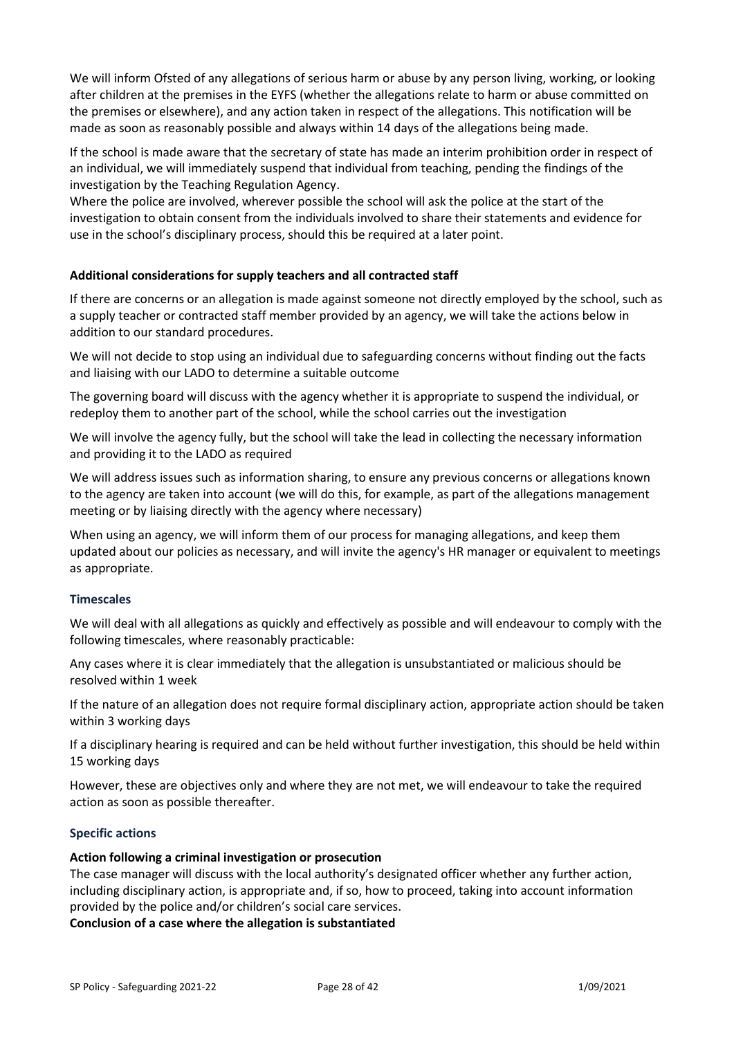We will inform Ofsted of any allegations of serious harm or abuse by any person living, working, or looking after children at the premises in the EYFS (whether the allegations relate to harm or abuse committed on the premises or elsewhere), and any action taken in respect of the allegations. This notification will be made as soon as reasonably possible and always within 14 days of the allegations being made.

If the school is made aware that the secretary of state has made an interim prohibition order in respect of an individual, we will immediately suspend that individual from teaching, pending the findings of the investigation by the Teaching Regulation Agency.

Where the police are involved, wherever possible the school will ask the police at the start of the investigation to obtain consent from the individuals involved to share their statements and evidence for use in the school's disciplinary process, should this be required at a later point.

## **Additional considerations for supply teachers and all contracted staff**

If there are concerns or an allegation is made against someone not directly employed by the school, such as a supply teacher or contracted staff member provided by an agency, we will take the actions below in addition to our standard procedures.

We will not decide to stop using an individual due to safeguarding concerns without finding out the facts and liaising with our LADO to determine a suitable outcome

The governing board will discuss with the agency whether it is appropriate to suspend the individual, or redeploy them to another part of the school, while the school carries out the investigation

We will involve the agency fully, but the school will take the lead in collecting the necessary information and providing it to the LADO as required

We will address issues such as information sharing, to ensure any previous concerns or allegations known to the agency are taken into account (we will do this, for example, as part of the allegations management meeting or by liaising directly with the agency where necessary)

When using an agency, we will inform them of our process for managing allegations, and keep them updated about our policies as necessary, and will invite the agency's HR manager or equivalent to meetings as appropriate.

## **Timescales**

We will deal with all allegations as quickly and effectively as possible and will endeavour to comply with the following timescales, where reasonably practicable:

Any cases where it is clear immediately that the allegation is unsubstantiated or malicious should be resolved within 1 week

If the nature of an allegation does not require formal disciplinary action, appropriate action should be taken within 3 working days

If a disciplinary hearing is required and can be held without further investigation, this should be held within 15 working days

However, these are objectives only and where they are not met, we will endeavour to take the required action as soon as possible thereafter.

## **Specific actions**

## **Action following a criminal investigation or prosecution**

The case manager will discuss with the local authority's designated officer whether any further action, including disciplinary action, is appropriate and, if so, how to proceed, taking into account information provided by the police and/or children's social care services.

**Conclusion of a case where the allegation is substantiated**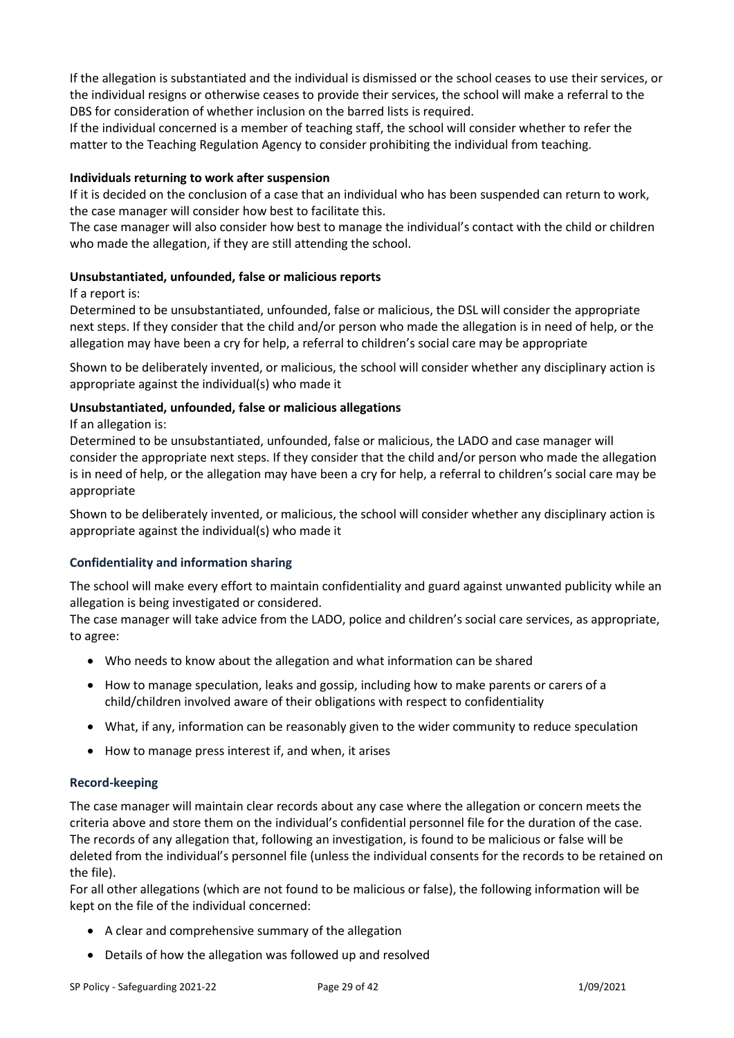If the allegation is substantiated and the individual is dismissed or the school ceases to use their services, or the individual resigns or otherwise ceases to provide their services, the school will make a referral to the DBS for consideration of whether inclusion on the barred lists is required.

If the individual concerned is a member of teaching staff, the school will consider whether to refer the matter to the Teaching Regulation Agency to consider prohibiting the individual from teaching.

## **Individuals returning to work after suspension**

If it is decided on the conclusion of a case that an individual who has been suspended can return to work, the case manager will consider how best to facilitate this.

The case manager will also consider how best to manage the individual's contact with the child or children who made the allegation, if they are still attending the school.

#### **Unsubstantiated, unfounded, false or malicious reports**

If a report is:

Determined to be unsubstantiated, unfounded, false or malicious, the DSL will consider the appropriate next steps. If they consider that the child and/or person who made the allegation is in need of help, or the allegation may have been a cry for help, a referral to children's social care may be appropriate

Shown to be deliberately invented, or malicious, the school will consider whether any disciplinary action is appropriate against the individual(s) who made it

#### **Unsubstantiated, unfounded, false or malicious allegations**

If an allegation is:

Determined to be unsubstantiated, unfounded, false or malicious, the LADO and case manager will consider the appropriate next steps. If they consider that the child and/or person who made the allegation is in need of help, or the allegation may have been a cry for help, a referral to children's social care may be appropriate

Shown to be deliberately invented, or malicious, the school will consider whether any disciplinary action is appropriate against the individual(s) who made it

## **Confidentiality and information sharing**

The school will make every effort to maintain confidentiality and guard against unwanted publicity while an allegation is being investigated or considered.

The case manager will take advice from the LADO, police and children's social care services, as appropriate, to agree:

- Who needs to know about the allegation and what information can be shared
- How to manage speculation, leaks and gossip, including how to make parents or carers of a child/children involved aware of their obligations with respect to confidentiality
- What, if any, information can be reasonably given to the wider community to reduce speculation
- How to manage press interest if, and when, it arises

#### **Record-keeping**

The case manager will maintain clear records about any case where the allegation or concern meets the criteria above and store them on the individual's confidential personnel file for the duration of the case. The records of any allegation that, following an investigation, is found to be malicious or false will be deleted from the individual's personnel file (unless the individual consents for the records to be retained on the file).

For all other allegations (which are not found to be malicious or false), the following information will be kept on the file of the individual concerned:

- A clear and comprehensive summary of the allegation
- Details of how the allegation was followed up and resolved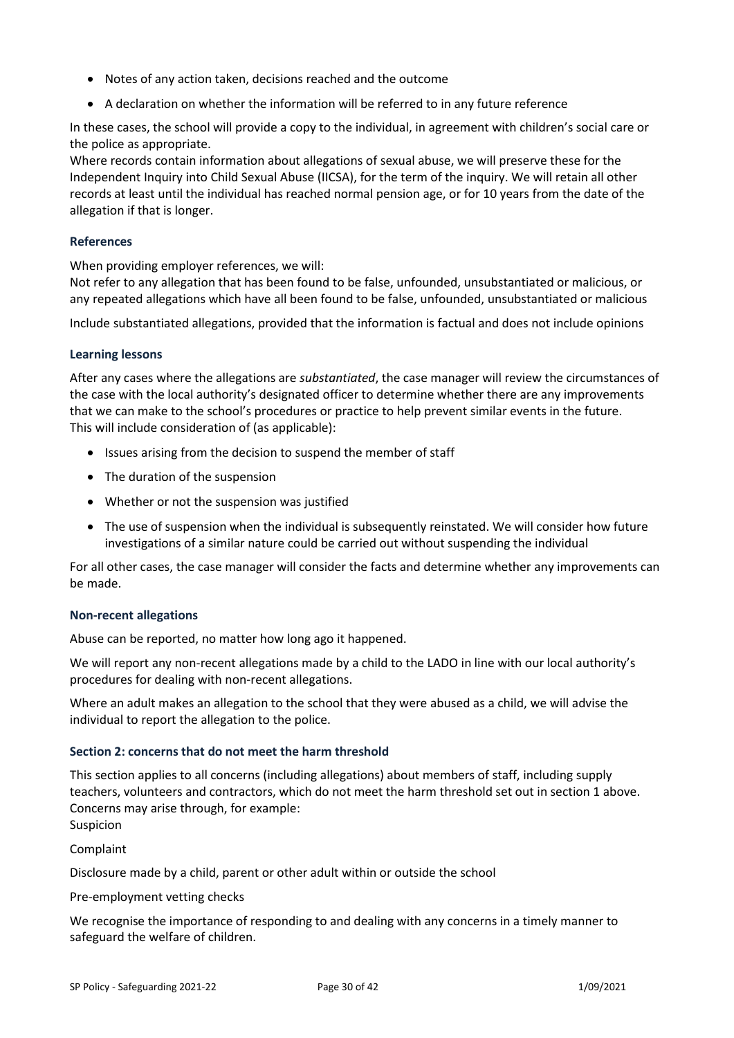- Notes of any action taken, decisions reached and the outcome
- A declaration on whether the information will be referred to in any future reference

In these cases, the school will provide a copy to the individual, in agreement with children's social care or the police as appropriate.

Where records contain information about allegations of sexual abuse, we will preserve these for the Independent Inquiry into Child Sexual Abuse (IICSA), for the term of the inquiry. We will retain all other records at least until the individual has reached normal pension age, or for 10 years from the date of the allegation if that is longer.

#### **References**

When providing employer references, we will:

Not refer to any allegation that has been found to be false, unfounded, unsubstantiated or malicious, or any repeated allegations which have all been found to be false, unfounded, unsubstantiated or malicious

Include substantiated allegations, provided that the information is factual and does not include opinions

#### **Learning lessons**

After any cases where the allegations are *substantiated*, the case manager will review the circumstances of the case with the local authority's designated officer to determine whether there are any improvements that we can make to the school's procedures or practice to help prevent similar events in the future. This will include consideration of (as applicable):

- Issues arising from the decision to suspend the member of staff
- The duration of the suspension
- Whether or not the suspension was justified
- The use of suspension when the individual is subsequently reinstated. We will consider how future investigations of a similar nature could be carried out without suspending the individual

For all other cases, the case manager will consider the facts and determine whether any improvements can be made.

#### **Non-recent allegations**

Abuse can be reported, no matter how long ago it happened.

We will report any non-recent allegations made by a child to the LADO in line with our local authority's procedures for dealing with non-recent allegations.

Where an adult makes an allegation to the school that they were abused as a child, we will advise the individual to report the allegation to the police.

#### **Section 2: concerns that do not meet the harm threshold**

This section applies to all concerns (including allegations) about members of staff, including supply teachers, volunteers and contractors, which do not meet the harm threshold set out in section 1 above. Concerns may arise through, for example: Suspicion

Complaint

Disclosure made by a child, parent or other adult within or outside the school

Pre-employment vetting checks

We recognise the importance of responding to and dealing with any concerns in a timely manner to safeguard the welfare of children.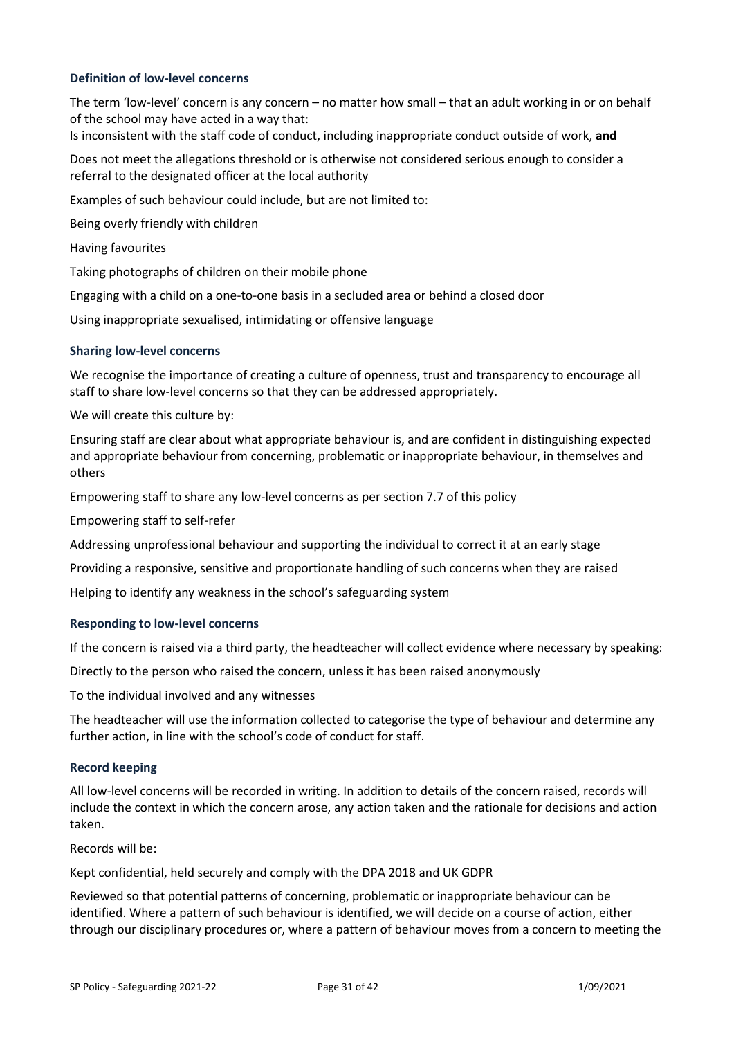## **Definition of low-level concerns**

The term 'low-level' concern is any concern – no matter how small – that an adult working in or on behalf of the school may have acted in a way that:

Is inconsistent with the staff code of conduct, including inappropriate conduct outside of work, **and**

Does not meet the allegations threshold or is otherwise not considered serious enough to consider a referral to the designated officer at the local authority

Examples of such behaviour could include, but are not limited to:

Being overly friendly with children

Having favourites

Taking photographs of children on their mobile phone

Engaging with a child on a one-to-one basis in a secluded area or behind a closed door

Using inappropriate sexualised, intimidating or offensive language

#### **Sharing low-level concerns**

We recognise the importance of creating a culture of openness, trust and transparency to encourage all staff to share low-level concerns so that they can be addressed appropriately.

We will create this culture by:

Ensuring staff are clear about what appropriate behaviour is, and are confident in distinguishing expected and appropriate behaviour from concerning, problematic or inappropriate behaviour, in themselves and others

Empowering staff to share any low-level concerns as per section 7.7 of this policy

Empowering staff to self-refer

Addressing unprofessional behaviour and supporting the individual to correct it at an early stage

Providing a responsive, sensitive and proportionate handling of such concerns when they are raised

Helping to identify any weakness in the school's safeguarding system

#### **Responding to low-level concerns**

If the concern is raised via a third party, the headteacher will collect evidence where necessary by speaking:

Directly to the person who raised the concern, unless it has been raised anonymously

To the individual involved and any witnesses

The headteacher will use the information collected to categorise the type of behaviour and determine any further action, in line with the school's code of conduct for staff.

#### **Record keeping**

All low-level concerns will be recorded in writing. In addition to details of the concern raised, records will include the context in which the concern arose, any action taken and the rationale for decisions and action taken.

Records will be:

Kept confidential, held securely and comply with the DPA 2018 and UK GDPR

Reviewed so that potential patterns of concerning, problematic or inappropriate behaviour can be identified. Where a pattern of such behaviour is identified, we will decide on a course of action, either through our disciplinary procedures or, where a pattern of behaviour moves from a concern to meeting the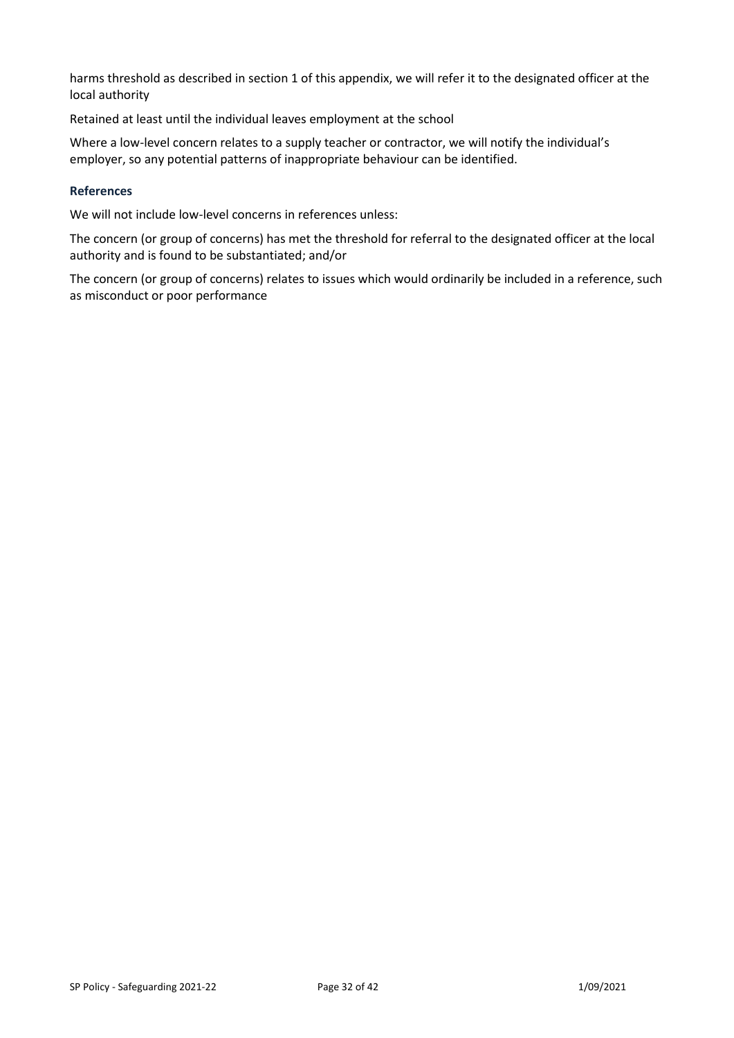harms threshold as described in section 1 of this appendix, we will refer it to the designated officer at the local authority

Retained at least until the individual leaves employment at the school

Where a low-level concern relates to a supply teacher or contractor, we will notify the individual's employer, so any potential patterns of inappropriate behaviour can be identified.

#### **References**

We will not include low-level concerns in references unless:

The concern (or group of concerns) has met the threshold for referral to the designated officer at the local authority and is found to be substantiated; and/or

The concern (or group of concerns) relates to issues which would ordinarily be included in a reference, such as misconduct or poor performance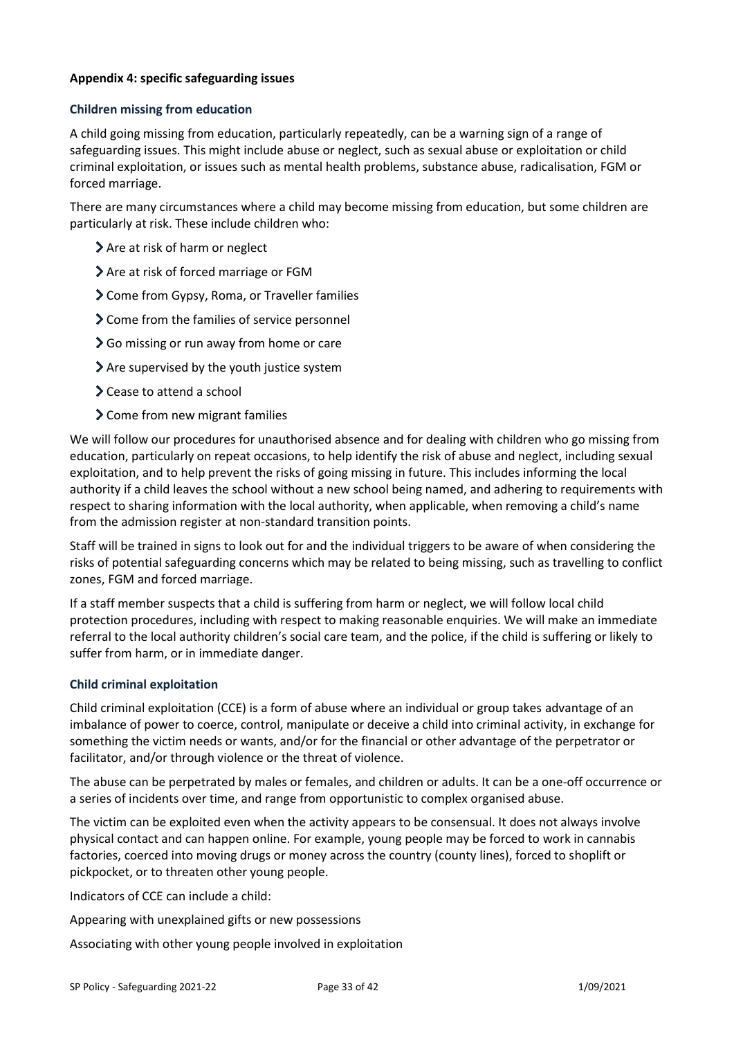## <span id="page-32-0"></span>**Appendix 4: specific safeguarding issues**

## **Children missing from education**

A child going missing from education, particularly repeatedly, can be a warning sign of a range of safeguarding issues. This might include abuse or neglect, such as sexual abuse or exploitation or child criminal exploitation, or issues such as mental health problems, substance abuse, radicalisation, FGM or forced marriage.

There are many circumstances where a child may become missing from education, but some children are particularly at risk. These include children who:

- Are at risk of harm or neglect
- Are at risk of forced marriage or FGM
- Come from Gypsy, Roma, or Traveller families
- Come from the families of service personnel
- Go missing or run away from home or care
- $\blacktriangleright$  Are supervised by the youth justice system
- Cease to attend a school
- Come from new migrant families

We will follow our procedures for unauthorised absence and for dealing with children who go missing from education, particularly on repeat occasions, to help identify the risk of abuse and neglect, including sexual exploitation, and to help prevent the risks of going missing in future. This includes informing the local authority if a child leaves the school without a new school being named, and adhering to requirements with respect to sharing information with the local authority, when applicable, when removing a child's name from the admission register at non-standard transition points.

Staff will be trained in signs to look out for and the individual triggers to be aware of when considering the risks of potential safeguarding concerns which may be related to being missing, such as travelling to conflict zones, FGM and forced marriage.

If a staff member suspects that a child is suffering from harm or neglect, we will follow local child protection procedures, including with respect to making reasonable enquiries. We will make an immediate referral to the local authority children's social care team, and the police, if the child is suffering or likely to suffer from harm, or in immediate danger.

## **Child criminal exploitation**

Child criminal exploitation (CCE) is a form of abuse where an individual or group takes advantage of an imbalance of power to coerce, control, manipulate or deceive a child into criminal activity, in exchange for something the victim needs or wants, and/or for the financial or other advantage of the perpetrator or facilitator, and/or through violence or the threat of violence.

The abuse can be perpetrated by males or females, and children or adults. It can be a one-off occurrence or a series of incidents over time, and range from opportunistic to complex organised abuse.

The victim can be exploited even when the activity appears to be consensual. It does not always involve physical contact and can happen online. For example, young people may be forced to work in cannabis factories, coerced into moving drugs or money across the country (county lines), forced to shoplift or pickpocket, or to threaten other young people.

Indicators of CCE can include a child:

Appearing with unexplained gifts or new possessions

Associating with other young people involved in exploitation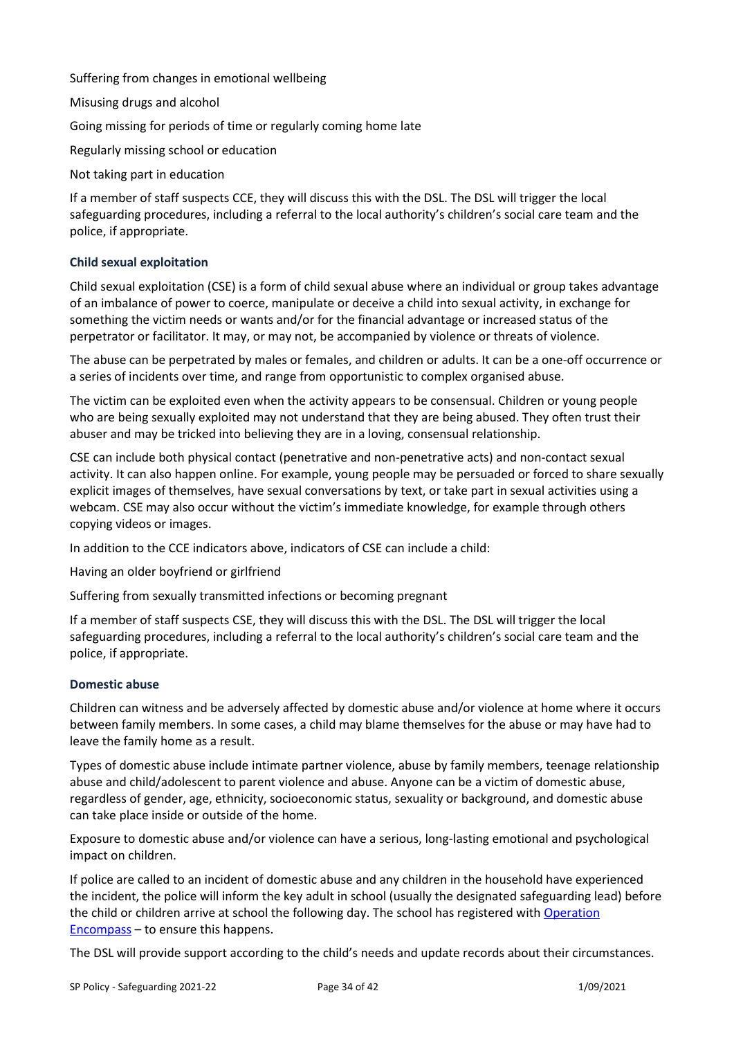Suffering from changes in emotional wellbeing

Misusing drugs and alcohol

Going missing for periods of time or regularly coming home late

Regularly missing school or education

Not taking part in education

If a member of staff suspects CCE, they will discuss this with the DSL. The DSL will trigger the local safeguarding procedures, including a referral to the local authority's children's social care team and the police, if appropriate.

## **Child sexual exploitation**

Child sexual exploitation (CSE) is a form of child sexual abuse where an individual or group takes advantage of an imbalance of power to coerce, manipulate or deceive a child into sexual activity, in exchange for something the victim needs or wants and/or for the financial advantage or increased status of the perpetrator or facilitator. It may, or may not, be accompanied by violence or threats of violence.

The abuse can be perpetrated by males or females, and children or adults. It can be a one-off occurrence or a series of incidents over time, and range from opportunistic to complex organised abuse.

The victim can be exploited even when the activity appears to be consensual. Children or young people who are being sexually exploited may not understand that they are being abused. They often trust their abuser and may be tricked into believing they are in a loving, consensual relationship.

CSE can include both physical contact (penetrative and non-penetrative acts) and non-contact sexual activity. It can also happen online. For example, young people may be persuaded or forced to share sexually explicit images of themselves, have sexual conversations by text, or take part in sexual activities using a webcam. CSE may also occur without the victim's immediate knowledge, for example through others copying videos or images.

In addition to the CCE indicators above, indicators of CSE can include a child:

Having an older boyfriend or girlfriend

Suffering from sexually transmitted infections or becoming pregnant

If a member of staff suspects CSE, they will discuss this with the DSL. The DSL will trigger the local safeguarding procedures, including a referral to the local authority's children's social care team and the police, if appropriate.

## **Domestic abuse**

Children can witness and be adversely affected by domestic abuse and/or violence at home where it occurs between family members. In some cases, a child may blame themselves for the abuse or may have had to leave the family home as a result.

Types of domestic abuse include intimate partner violence, abuse by family members, teenage relationship abuse and child/adolescent to parent violence and abuse. Anyone can be a victim of domestic abuse, regardless of gender, age, ethnicity, socioeconomic status, sexuality or background, and domestic abuse can take place inside or outside of the home.

Exposure to domestic abuse and/or violence can have a serious, long-lasting emotional and psychological impact on children.

If police are called to an incident of domestic abuse and any children in the household have experienced the incident, the police will inform the key adult in school (usually the designated safeguarding lead) before the child or children arrive at school the following day. The school has registered with [Operation](https://www.operationencompass.org/)  [Encompass](https://www.operationencompass.org/) – to ensure this happens.

The DSL will provide support according to the child's needs and update records about their circumstances.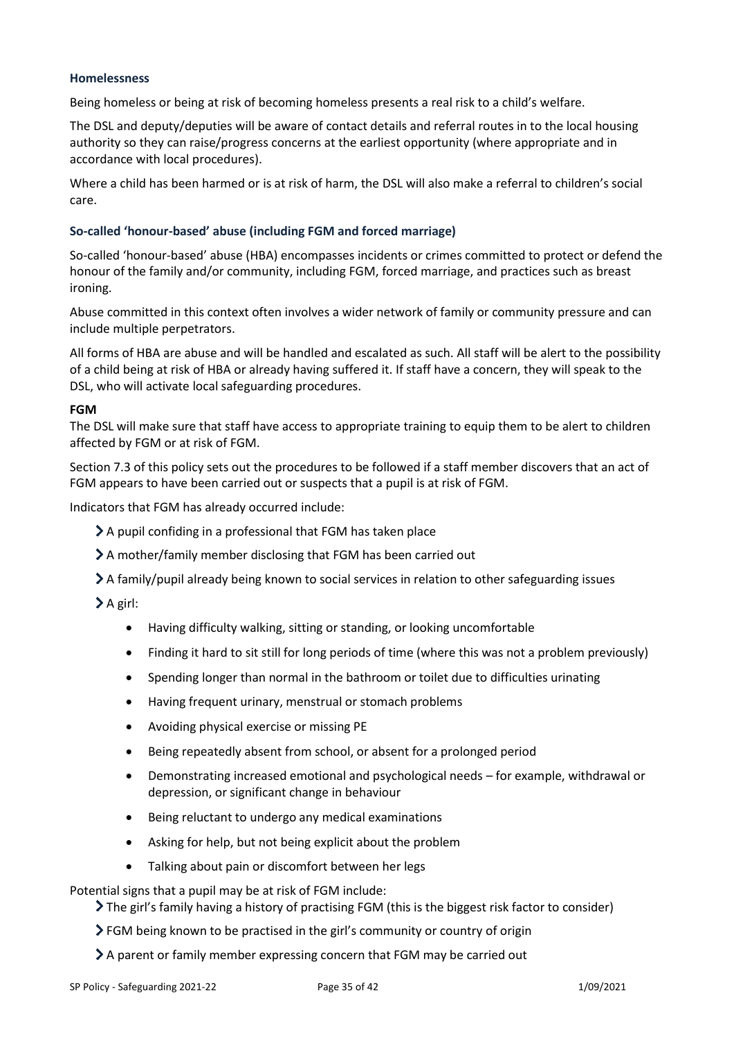## **Homelessness**

Being homeless or being at risk of becoming homeless presents a real risk to a child's welfare.

The DSL and deputy/deputies will be aware of contact details and referral routes in to the local housing authority so they can raise/progress concerns at the earliest opportunity (where appropriate and in accordance with local procedures).

Where a child has been harmed or is at risk of harm, the DSL will also make a referral to children's social care.

#### **So-called 'honour-based' abuse (including FGM and forced marriage)**

So-called 'honour-based' abuse (HBA) encompasses incidents or crimes committed to protect or defend the honour of the family and/or community, including FGM, forced marriage, and practices such as breast ironing.

Abuse committed in this context often involves a wider network of family or community pressure and can include multiple perpetrators.

All forms of HBA are abuse and will be handled and escalated as such. All staff will be alert to the possibility of a child being at risk of HBA or already having suffered it. If staff have a concern, they will speak to the DSL, who will activate local safeguarding procedures.

#### **FGM**

The DSL will make sure that staff have access to appropriate training to equip them to be alert to children affected by FGM or at risk of FGM.

Section 7.3 of this policy sets out the procedures to be followed if a staff member discovers that an act of FGM appears to have been carried out or suspects that a pupil is at risk of FGM.

Indicators that FGM has already occurred include:

- A pupil confiding in a professional that FGM has taken place
- A mother/family member disclosing that FGM has been carried out
- A family/pupil already being known to social services in relation to other safeguarding issues

 $\sum A$  girl:

- Having difficulty walking, sitting or standing, or looking uncomfortable
- Finding it hard to sit still for long periods of time (where this was not a problem previously)
- Spending longer than normal in the bathroom or toilet due to difficulties urinating
- Having frequent urinary, menstrual or stomach problems
- Avoiding physical exercise or missing PE
- Being repeatedly absent from school, or absent for a prolonged period
- Demonstrating increased emotional and psychological needs for example, withdrawal or depression, or significant change in behaviour
- Being reluctant to undergo any medical examinations
- Asking for help, but not being explicit about the problem
- Talking about pain or discomfort between her legs

Potential signs that a pupil may be at risk of FGM include:

- The girl's family having a history of practising FGM (this is the biggest risk factor to consider)
- $\geq$  FGM being known to be practised in the girl's community or country of origin
- A parent or family member expressing concern that FGM may be carried out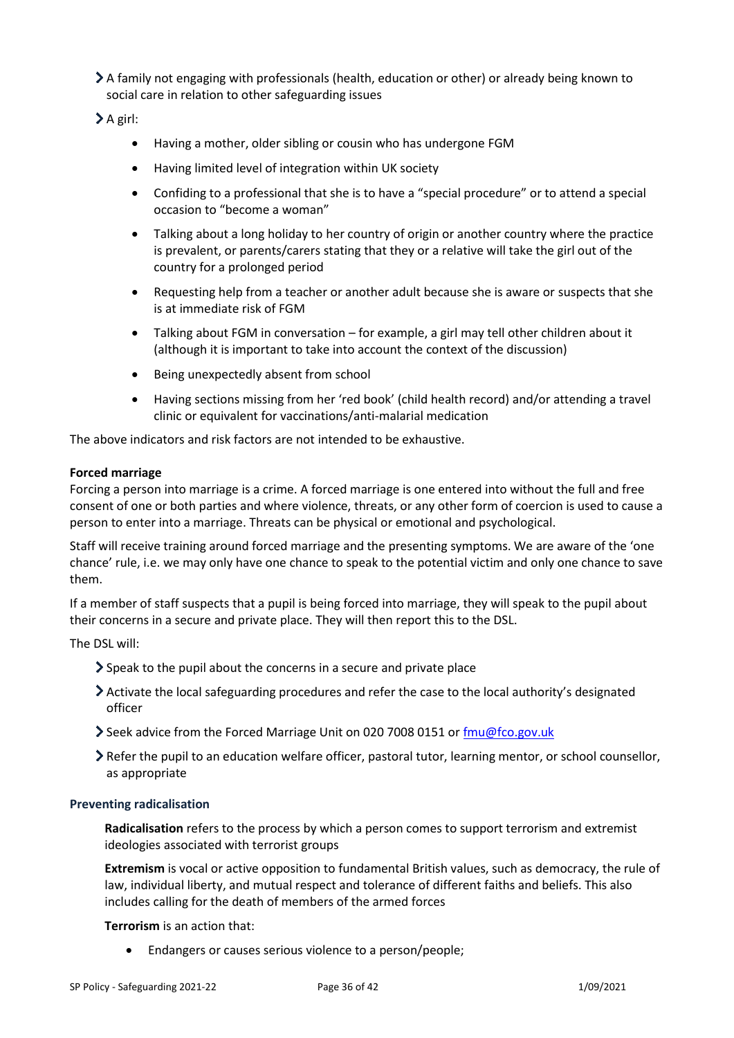A family not engaging with professionals (health, education or other) or already being known to social care in relation to other safeguarding issues

A girl:

- Having a mother, older sibling or cousin who has undergone FGM
- Having limited level of integration within UK society
- Confiding to a professional that she is to have a "special procedure" or to attend a special occasion to "become a woman"
- Talking about a long holiday to her country of origin or another country where the practice is prevalent, or parents/carers stating that they or a relative will take the girl out of the country for a prolonged period
- Requesting help from a teacher or another adult because she is aware or suspects that she is at immediate risk of FGM
- Talking about FGM in conversation for example, a girl may tell other children about it (although it is important to take into account the context of the discussion)
- Being unexpectedly absent from school
- Having sections missing from her 'red book' (child health record) and/or attending a travel clinic or equivalent for vaccinations/anti-malarial medication

The above indicators and risk factors are not intended to be exhaustive.

#### **Forced marriage**

Forcing a person into marriage is a crime. A forced marriage is one entered into without the full and free consent of one or both parties and where violence, threats, or any other form of coercion is used to cause a person to enter into a marriage. Threats can be physical or emotional and psychological.

Staff will receive training around forced marriage and the presenting symptoms. We are aware of the 'one chance' rule, i.e. we may only have one chance to speak to the potential victim and only one chance to save them.

If a member of staff suspects that a pupil is being forced into marriage, they will speak to the pupil about their concerns in a secure and private place. They will then report this to the DSL.

The DSL will:

- $\geq$  Speak to the pupil about the concerns in a secure and private place
- Activate the local safeguarding procedures and refer the case to the local authority's designated officer
- Seek advice from the Forced Marriage Unit on 020 7008 0151 o[r fmu@fco.gov.uk](mailto:fmu@fco.gov.uk)
- Refer the pupil to an education welfare officer, pastoral tutor, learning mentor, or school counsellor, as appropriate

#### **Preventing radicalisation**

**Radicalisation** refers to the process by which a person comes to support terrorism and extremist ideologies associated with terrorist groups

**Extremism** is vocal or active opposition to fundamental British values, such as democracy, the rule of law, individual liberty, and mutual respect and tolerance of different faiths and beliefs. This also includes calling for the death of members of the armed forces

#### **Terrorism** is an action that:

Endangers or causes serious violence to a person/people;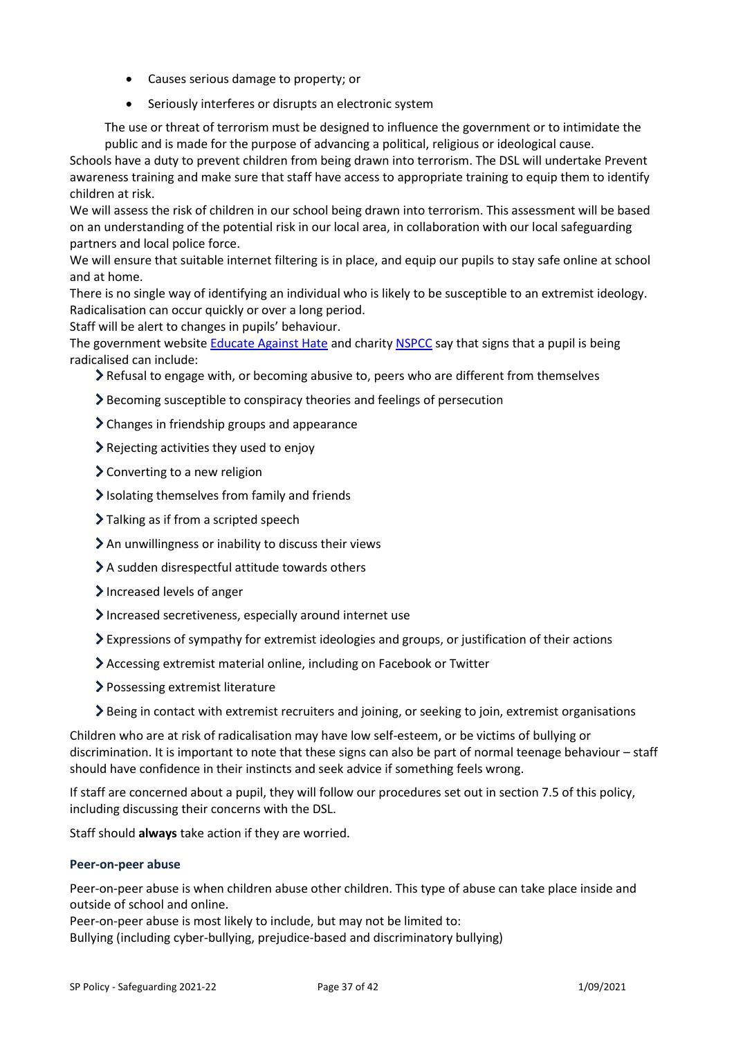- Causes serious damage to property; or
- Seriously interferes or disrupts an electronic system

The use or threat of terrorism must be designed to influence the government or to intimidate the public and is made for the purpose of advancing a political, religious or ideological cause.

Schools have a duty to prevent children from being drawn into terrorism. The DSL will undertake Prevent awareness training and make sure that staff have access to appropriate training to equip them to identify children at risk.

We will assess the risk of children in our school being drawn into terrorism. This assessment will be based on an understanding of the potential risk in our local area, in collaboration with our local safeguarding partners and local police force.

We will ensure that suitable internet filtering is in place, and equip our pupils to stay safe online at school and at home.

There is no single way of identifying an individual who is likely to be susceptible to an extremist ideology. Radicalisation can occur quickly or over a long period.

Staff will be alert to changes in pupils' behaviour.

The government websit[e Educate Against Hate](http://educateagainsthate.com/parents/what-are-the-warning-signs/) and charity [NSPCC](https://www.nspcc.org.uk/what-you-can-do/report-abuse/dedicated-helplines/protecting-children-from-radicalisation/) say that signs that a pupil is being radicalised can include:

- Refusal to engage with, or becoming abusive to, peers who are different from themselves
- Becoming susceptible to conspiracy theories and feelings of persecution
- Changes in friendship groups and appearance
- $\blacktriangleright$  Rejecting activities they used to enjoy
- Converting to a new religion
- $\blacktriangleright$  Isolating themselves from family and friends
- > Talking as if from a scripted speech
- An unwillingness or inability to discuss their views
- A sudden disrespectful attitude towards others
- Increased levels of anger
- Increased secretiveness, especially around internet use
- Expressions of sympathy for extremist ideologies and groups, or justification of their actions
- Accessing extremist material online, including on Facebook or Twitter
- Possessing extremist literature
- Being in contact with extremist recruiters and joining, or seeking to join, extremist organisations

Children who are at risk of radicalisation may have low self-esteem, or be victims of bullying or discrimination. It is important to note that these signs can also be part of normal teenage behaviour – staff should have confidence in their instincts and seek advice if something feels wrong.

If staff are concerned about a pupil, they will follow our procedures set out in section 7.5 of this policy, including discussing their concerns with the DSL.

Staff should **always** take action if they are worried.

## **Peer-on-peer abuse**

Peer-on-peer abuse is when children abuse other children. This type of abuse can take place inside and outside of school and online.

Peer-on-peer abuse is most likely to include, but may not be limited to:

Bullying (including cyber-bullying, prejudice-based and discriminatory bullying)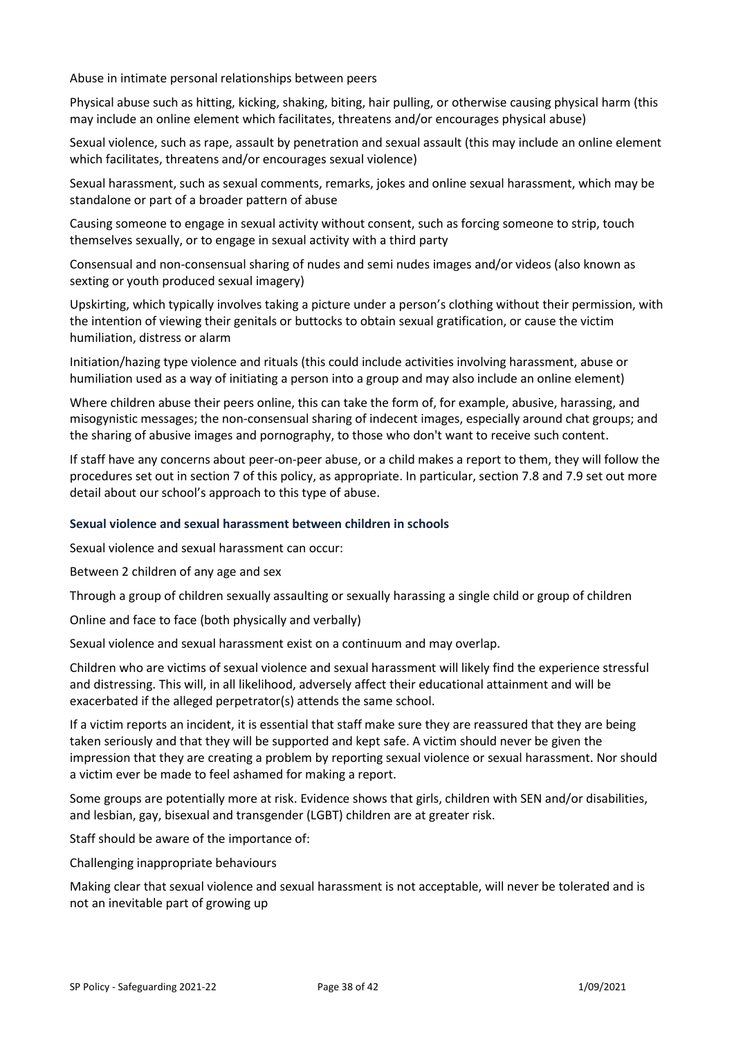Abuse in intimate personal relationships between peers

Physical abuse such as hitting, kicking, shaking, biting, hair pulling, or otherwise causing physical harm (this may include an online element which facilitates, threatens and/or encourages physical abuse)

Sexual violence, such as rape, assault by penetration and sexual assault (this may include an online element which facilitates, threatens and/or encourages sexual violence)

Sexual harassment, such as sexual comments, remarks, jokes and online sexual harassment, which may be standalone or part of a broader pattern of abuse

Causing someone to engage in sexual activity without consent, such as forcing someone to strip, touch themselves sexually, or to engage in sexual activity with a third party

Consensual and non-consensual sharing of nudes and semi nudes images and/or videos (also known as sexting or youth produced sexual imagery)

Upskirting, which typically involves taking a picture under a person's clothing without their permission, with the intention of viewing their genitals or buttocks to obtain sexual gratification, or cause the victim humiliation, distress or alarm

Initiation/hazing type violence and rituals (this could include activities involving harassment, abuse or humiliation used as a way of initiating a person into a group and may also include an online element)

Where children abuse their peers online, this can take the form of, for example, abusive, harassing, and misogynistic messages; the non-consensual sharing of indecent images, especially around chat groups; and the sharing of abusive images and pornography, to those who don't want to receive such content.

If staff have any concerns about peer-on-peer abuse, or a child makes a report to them, they will follow the procedures set out in section 7 of this policy, as appropriate. In particular, section 7.8 and 7.9 set out more detail about our school's approach to this type of abuse.

#### **Sexual violence and sexual harassment between children in schools**

Sexual violence and sexual harassment can occur:

Between 2 children of any age and sex

Through a group of children sexually assaulting or sexually harassing a single child or group of children

Online and face to face (both physically and verbally)

Sexual violence and sexual harassment exist on a continuum and may overlap.

Children who are victims of sexual violence and sexual harassment will likely find the experience stressful and distressing. This will, in all likelihood, adversely affect their educational attainment and will be exacerbated if the alleged perpetrator(s) attends the same school.

If a victim reports an incident, it is essential that staff make sure they are reassured that they are being taken seriously and that they will be supported and kept safe. A victim should never be given the impression that they are creating a problem by reporting sexual violence or sexual harassment. Nor should a victim ever be made to feel ashamed for making a report.

Some groups are potentially more at risk. Evidence shows that girls, children with SEN and/or disabilities, and lesbian, gay, bisexual and transgender (LGBT) children are at greater risk.

Staff should be aware of the importance of:

Challenging inappropriate behaviours

Making clear that sexual violence and sexual harassment is not acceptable, will never be tolerated and is not an inevitable part of growing up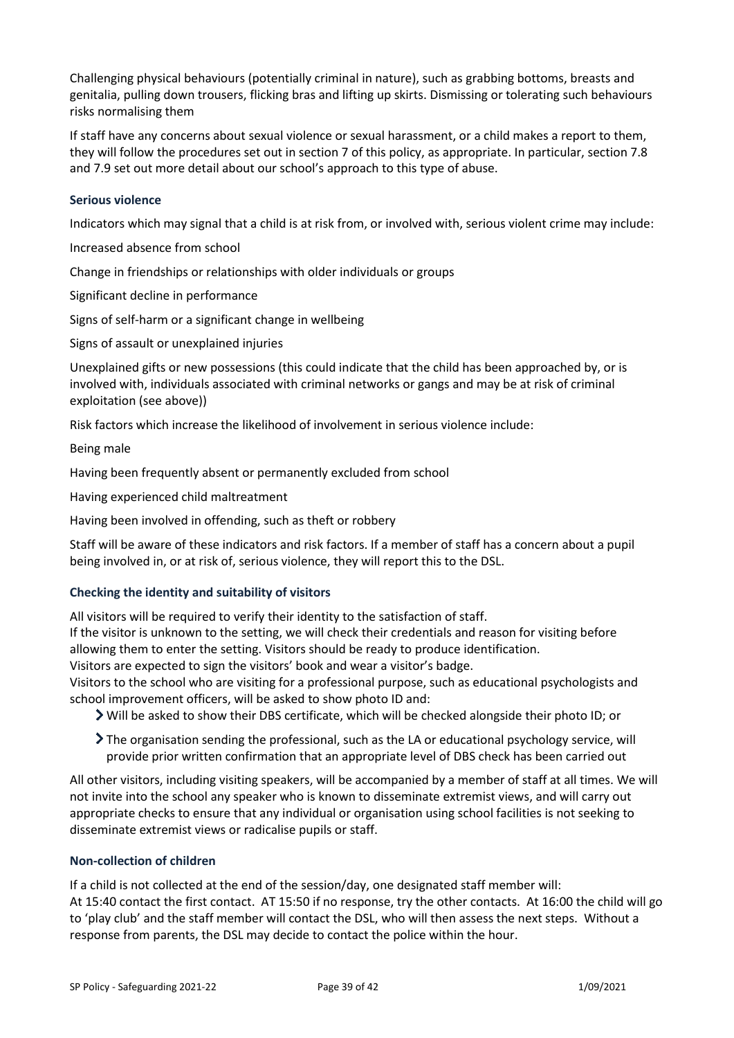Challenging physical behaviours (potentially criminal in nature), such as grabbing bottoms, breasts and genitalia, pulling down trousers, flicking bras and lifting up skirts. Dismissing or tolerating such behaviours risks normalising them

If staff have any concerns about sexual violence or sexual harassment, or a child makes a report to them, they will follow the procedures set out in section 7 of this policy, as appropriate. In particular, section 7.8 and 7.9 set out more detail about our school's approach to this type of abuse.

#### **Serious violence**

Indicators which may signal that a child is at risk from, or involved with, serious violent crime may include:

Increased absence from school

Change in friendships or relationships with older individuals or groups

Significant decline in performance

Signs of self-harm or a significant change in wellbeing

Signs of assault or unexplained injuries

Unexplained gifts or new possessions (this could indicate that the child has been approached by, or is involved with, individuals associated with criminal networks or gangs and may be at risk of criminal exploitation (see above))

Risk factors which increase the likelihood of involvement in serious violence include:

Being male

Having been frequently absent or permanently excluded from school

Having experienced child maltreatment

Having been involved in offending, such as theft or robbery

Staff will be aware of these indicators and risk factors. If a member of staff has a concern about a pupil being involved in, or at risk of, serious violence, they will report this to the DSL.

## **Checking the identity and suitability of visitors**

All visitors will be required to verify their identity to the satisfaction of staff. If the visitor is unknown to the setting, we will check their credentials and reason for visiting before allowing them to enter the setting. Visitors should be ready to produce identification.

Visitors are expected to sign the visitors' book and wear a visitor's badge.

Visitors to the school who are visiting for a professional purpose, such as educational psychologists and school improvement officers, will be asked to show photo ID and:

- Will be asked to show their DBS certificate, which will be checked alongside their photo ID; or
- The organisation sending the professional, such as the LA or educational psychology service, will provide prior written confirmation that an appropriate level of DBS check has been carried out

All other visitors, including visiting speakers, will be accompanied by a member of staff at all times. We will not invite into the school any speaker who is known to disseminate extremist views, and will carry out appropriate checks to ensure that any individual or organisation using school facilities is not seeking to disseminate extremist views or radicalise pupils or staff.

## **Non-collection of children**

If a child is not collected at the end of the session/day, one designated staff member will: At 15:40 contact the first contact. AT 15:50 if no response, try the other contacts. At 16:00 the child will go to 'play club' and the staff member will contact the DSL, who will then assess the next steps. Without a response from parents, the DSL may decide to contact the police within the hour.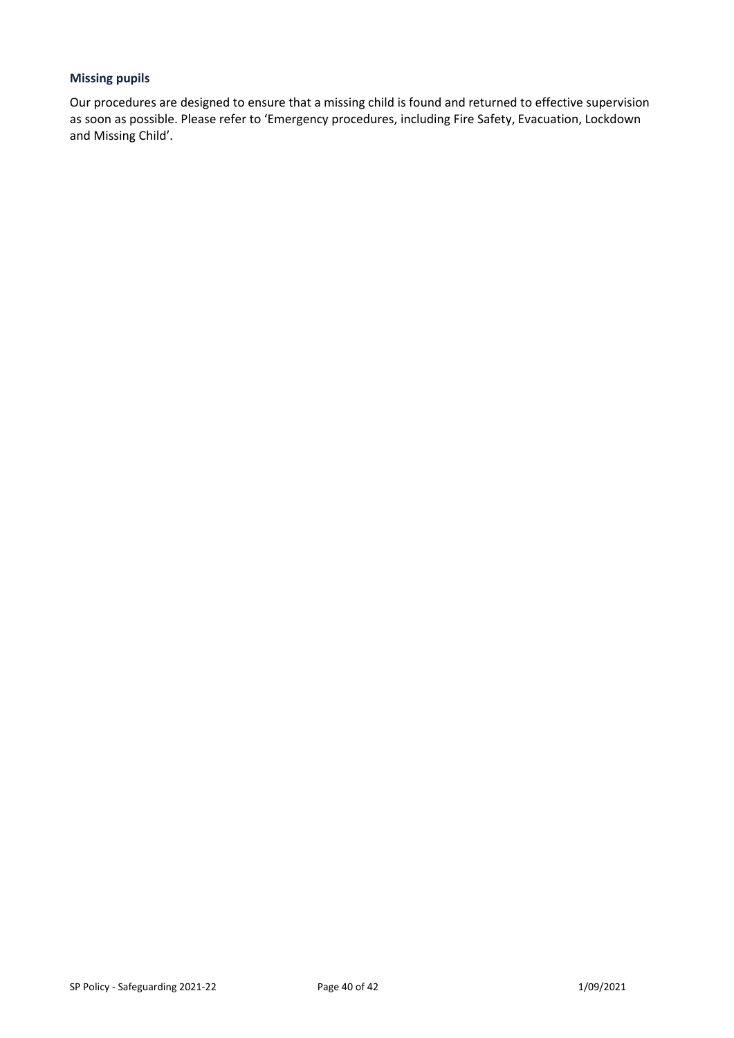## **Missing pupils**

Our procedures are designed to ensure that a missing child is found and returned to effective supervision as soon as possible. Please refer to 'Emergency procedures, including Fire Safety, Evacuation, Lockdown and Missing Child'.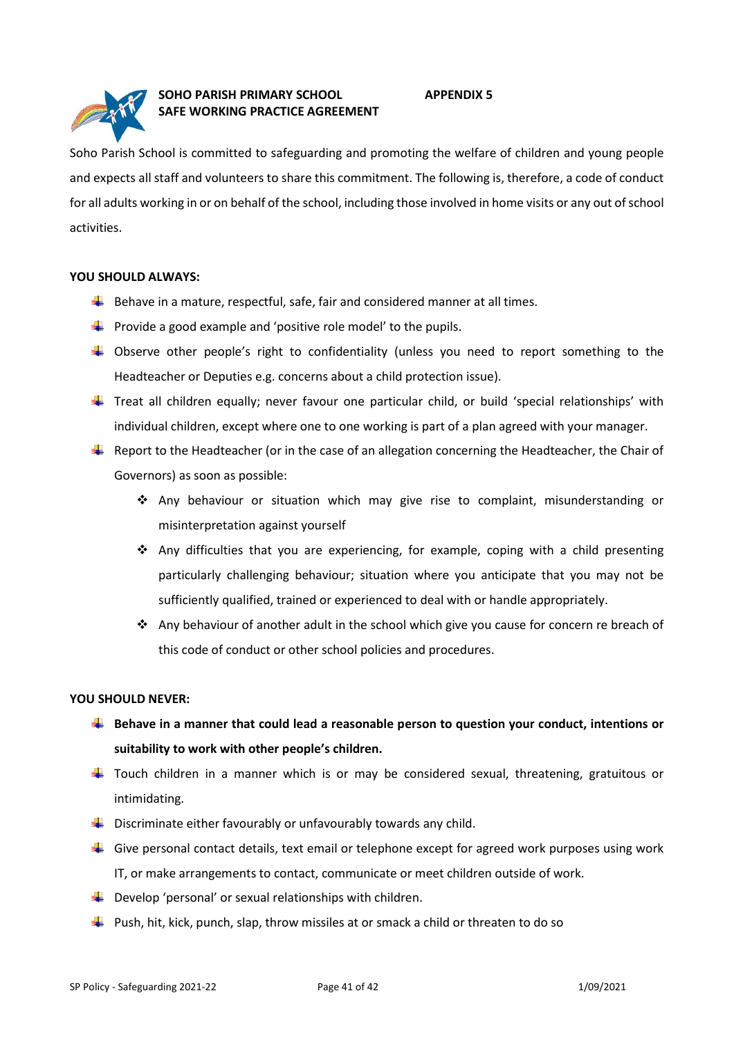

# **SOHO PARISH PRIMARY SCHOOL 6 APPENDIX 5 SAFE WORKING PRACTICE AGREEMENT**

Soho Parish School is committed to safeguarding and promoting the welfare of children and young people and expects all staff and volunteers to share this commitment. The following is, therefore, a code of conduct for all adults working in or on behalf of the school, including those involved in home visits or any out of school activities.

## **YOU SHOULD ALWAYS:**

- $\ddot{+}$  Behave in a mature, respectful, safe, fair and considered manner at all times.
- $\downarrow$  Provide a good example and 'positive role model' to the pupils.
- $\ddot{\phantom{1}}$  Observe other people's right to confidentiality (unless you need to report something to the Headteacher or Deputies e.g. concerns about a child protection issue).
- Treat all children equally; never favour one particular child, or build 'special relationships' with individual children, except where one to one working is part of a plan agreed with your manager.
- Report to the Headteacher (or in the case of an allegation concerning the Headteacher, the Chair of Governors) as soon as possible:
	- Any behaviour or situation which may give rise to complaint, misunderstanding or misinterpretation against yourself
	- Any difficulties that you are experiencing, for example, coping with a child presenting particularly challenging behaviour; situation where you anticipate that you may not be sufficiently qualified, trained or experienced to deal with or handle appropriately.
	- Any behaviour of another adult in the school which give you cause for concern re breach of this code of conduct or other school policies and procedures.

## **YOU SHOULD NEVER:**

- **Behave in a manner that could lead a reasonable person to question your conduct, intentions or suitability to work with other people's children.**
- $\ddot{\phantom{1}}$  Touch children in a manner which is or may be considered sexual, threatening, gratuitous or intimidating.
- $\downarrow$  Discriminate either favourably or unfavourably towards any child.
- $\ddot{\phantom{1}}$  Give personal contact details, text email or telephone except for agreed work purposes using work IT, or make arrangements to contact, communicate or meet children outside of work.
- $\downarrow$  Develop 'personal' or sexual relationships with children.
- **Push, hit, kick, punch, slap, throw missiles at or smack a child or threaten to do so**